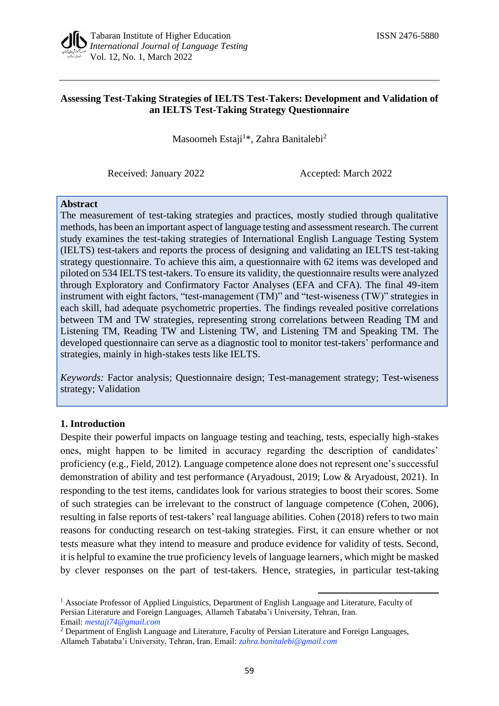## **Assessing Test-Taking Strategies of IELTS Test-Takers: Development and Validation of an IELTS Test-Taking Strategy Questionnaire**

Masoomeh Estaji<sup>1</sup>\*, Zahra Banitalebi<sup>2</sup>

Received: January 2022 Accepted: March 2022

#### **Abstract**

The measurement of test-taking strategies and practices, mostly studied through qualitative methods, has been an important aspect of language testing and assessment research. The current study examines the test-taking strategies of International English Language Testing System (IELTS) test-takers and reports the process of designing and validating an IELTS test-taking strategy questionnaire. To achieve this aim, a questionnaire with 62 items was developed and piloted on 534 IELTS test-takers. To ensure its validity, the questionnaire results were analyzed through Exploratory and Confirmatory Factor Analyses (EFA and CFA). The final 49-item instrument with eight factors, "test-management (TM)" and "test-wiseness (TW)" strategies in each skill, had adequate psychometric properties. The findings revealed positive correlations between TM and TW strategies, representing strong correlations between Reading TM and Listening TM, Reading TW and Listening TW, and Listening TM and Speaking TM. The developed questionnaire can serve as a diagnostic tool to monitor test-takers' performance and strategies, mainly in high-stakes tests like IELTS.

*Keywords:* Factor analysis; Questionnaire design; Test-management strategy; Test-wiseness strategy; Validation

#### **1. Introduction**

Despite their powerful impacts on language testing and teaching, tests, especially high-stakes ones, might happen to be limited in accuracy regarding the description of candidates' proficiency (e.g., Field, 2012). Language competence alone does not represent one's successful demonstration of ability and test performance (Aryadoust, 2019; Low & Aryadoust, 2021). In responding to the test items, candidates look for various strategies to boost their scores. Some of such strategies can be irrelevant to the construct of language competence (Cohen, 2006), resulting in false reports of test-takers' real language abilities. Cohen (2018) refers to two main reasons for conducting research on test-taking strategies. First, it can ensure whether or not tests measure what they intend to measure and produce evidence for validity of tests. Second, it is helpful to examine the true proficiency levels of language learners, which might be masked by clever responses on the part of test-takers. Hence, strategies, in particular test-taking

<sup>1</sup> Associate Professor of Applied Linguistics, Department of English Language and Literature, Faculty of Persian Literature and Foreign Languages, Allameh Tabataba'i University, Tehran, Iran. Email: *mestaji74@gmail.com*

<sup>2</sup> Department of English Language and Literature, Faculty of Persian Literature and Foreign Languages, Allameh Tabataba'i University, Tehran, Iran. Email: *zahra.banitalebi@gmail.com*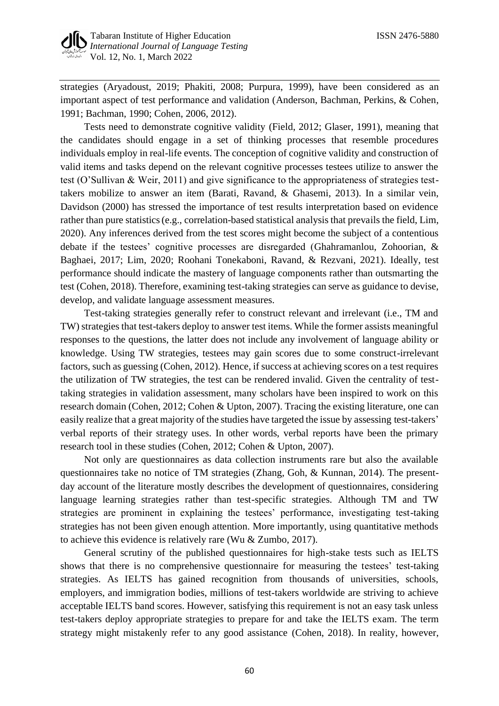strategies (Aryadoust, 2019; Phakiti, 2008; Purpura, 1999), have been considered as an important aspect of test performance and validation (Anderson, Bachman, Perkins, & Cohen, 1991; Bachman, 1990; Cohen, 2006, 2012).

Tests need to demonstrate cognitive validity (Field, 2012; Glaser, 1991), meaning that the candidates should engage in a set of thinking processes that resemble procedures individuals employ in real-life events. The conception of cognitive validity and construction of valid items and tasks depend on the relevant cognitive processes testees utilize to answer the test (O'Sullivan & Weir, 2011) and give significance to the appropriateness of strategies testtakers mobilize to answer an item (Barati, Ravand, & Ghasemi, 2013). In a similar vein, Davidson (2000) has stressed the importance of test results interpretation based on evidence rather than pure statistics(e.g., correlation-based statistical analysis that prevails the field, Lim, 2020). Any inferences derived from the test scores might become the subject of a contentious debate if the testees' cognitive processes are disregarded (Ghahramanlou, Zohoorian, & Baghaei, 2017; Lim, 2020; Roohani Tonekaboni, Ravand, & Rezvani, 2021). Ideally, test performance should indicate the mastery of language components rather than outsmarting the test (Cohen, 2018). Therefore, examining test-taking strategies can serve as guidance to devise, develop, and validate language assessment measures.

Test-taking strategies generally refer to construct relevant and irrelevant (i.e., TM and TW) strategies that test-takers deploy to answer test items. While the former assists meaningful responses to the questions, the latter does not include any involvement of language ability or knowledge. Using TW strategies, testees may gain scores due to some construct-irrelevant factors, such as guessing (Cohen, 2012). Hence, if success at achieving scores on a test requires the utilization of TW strategies, the test can be rendered invalid. Given the centrality of testtaking strategies in validation assessment, many scholars have been inspired to work on this research domain (Cohen, 2012; Cohen & Upton, 2007). Tracing the existing literature, one can easily realize that a great majority of the studies have targeted the issue by assessing test-takers' verbal reports of their strategy uses. In other words, verbal reports have been the primary research tool in these studies (Cohen, 2012; Cohen & Upton, 2007).

Not only are questionnaires as data collection instruments rare but also the available questionnaires take no notice of TM strategies (Zhang, Goh, & Kunnan, 2014). The presentday account of the literature mostly describes the development of questionnaires, considering language learning strategies rather than test-specific strategies. Although TM and TW strategies are prominent in explaining the testees' performance, investigating test-taking strategies has not been given enough attention. More importantly, using quantitative methods to achieve this evidence is relatively rare (Wu & Zumbo, 2017).

General scrutiny of the published questionnaires for high-stake tests such as IELTS shows that there is no comprehensive questionnaire for measuring the testees' test-taking strategies. As IELTS has gained recognition from thousands of universities, schools, employers, and immigration bodies, millions of test-takers worldwide are striving to achieve acceptable IELTS band scores. However, satisfying this requirement is not an easy task unless test-takers deploy appropriate strategies to prepare for and take the IELTS exam. The term strategy might mistakenly refer to any good assistance (Cohen, 2018). In reality, however,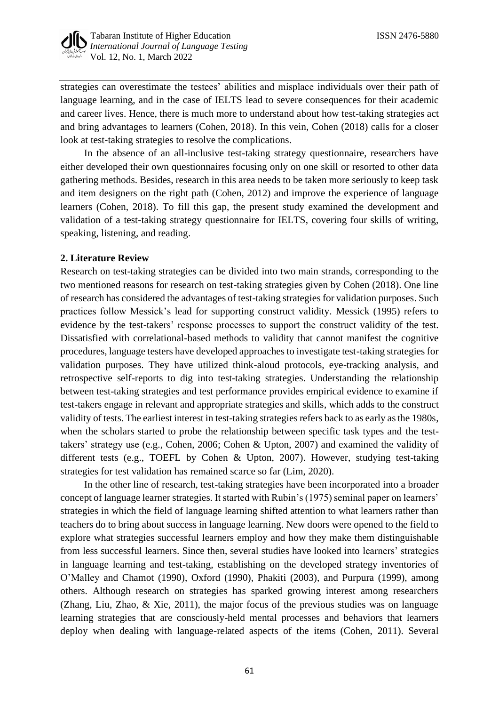

strategies can overestimate the testees' abilities and misplace individuals over their path of language learning, and in the case of IELTS lead to severe consequences for their academic and career lives. Hence, there is much more to understand about how test-taking strategies act and bring advantages to learners (Cohen, 2018). In this vein, Cohen (2018) calls for a closer look at test-taking strategies to resolve the complications.

In the absence of an all-inclusive test-taking strategy questionnaire, researchers have either developed their own questionnaires focusing only on one skill or resorted to other data gathering methods. Besides, research in this area needs to be taken more seriously to keep task and item designers on the right path (Cohen, 2012) and improve the experience of language learners (Cohen, 2018). To fill this gap, the present study examined the development and validation of a test-taking strategy questionnaire for IELTS, covering four skills of writing, speaking, listening, and reading.

## **2. Literature Review**

Research on test-taking strategies can be divided into two main strands, corresponding to the two mentioned reasons for research on test-taking strategies given by Cohen (2018). One line of research has considered the advantages of test-taking strategies for validation purposes. Such practices follow Messick's lead for supporting construct validity. Messick (1995) refers to evidence by the test-takers' response processes to support the construct validity of the test. Dissatisfied with correlational-based methods to validity that cannot manifest the cognitive procedures, language testers have developed approaches to investigate test-taking strategies for validation purposes. They have utilized think-aloud protocols, eye-tracking analysis, and retrospective self-reports to dig into test-taking strategies. Understanding the relationship between test-taking strategies and test performance provides empirical evidence to examine if test-takers engage in relevant and appropriate strategies and skills, which adds to the construct validity of tests. The earliest interest in test-taking strategies refers back to as early as the 1980s, when the scholars started to probe the relationship between specific task types and the testtakers' strategy use (e.g., Cohen, 2006; Cohen & Upton, 2007) and examined the validity of different tests (e.g., TOEFL by Cohen & Upton, 2007). However, studying test-taking strategies for test validation has remained scarce so far (Lim, 2020).

In the other line of research, test-taking strategies have been incorporated into a broader concept of language learner strategies. It started with Rubin's (1975) seminal paper on learners' strategies in which the field of language learning shifted attention to what learners rather than teachers do to bring about success in language learning. New doors were opened to the field to explore what strategies successful learners employ and how they make them distinguishable from less successful learners. Since then, several studies have looked into learners' strategies in language learning and test-taking, establishing on the developed strategy inventories of O'Malley and Chamot (1990), Oxford (1990), Phakiti (2003), and Purpura (1999), among others. Although research on strategies has sparked growing interest among researchers (Zhang, Liu, Zhao, & Xie, 2011), the major focus of the previous studies was on language learning strategies that are consciously-held mental processes and behaviors that learners deploy when dealing with language-related aspects of the items (Cohen, 2011). Several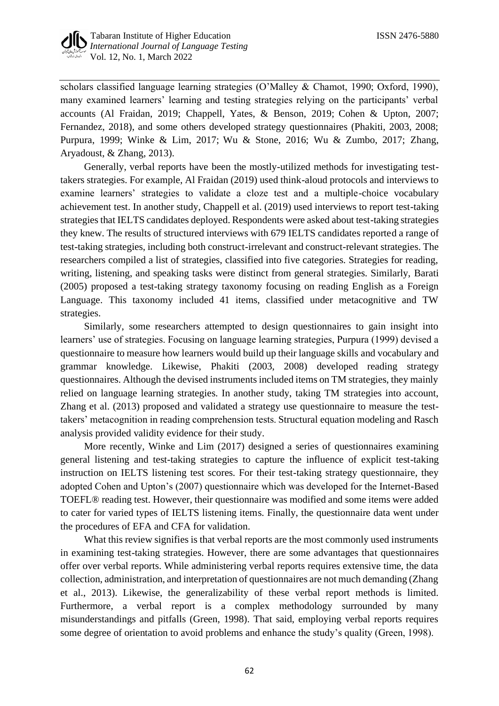scholars classified language learning strategies (O'Malley & Chamot, 1990; Oxford, 1990), many examined learners' learning and testing strategies relying on the participants' verbal accounts (Al Fraidan, 2019; Chappell, Yates, & Benson, 2019; Cohen & Upton, 2007; Fernandez, 2018), and some others developed strategy questionnaires (Phakiti, 2003, 2008; Purpura, 1999; Winke & Lim, 2017; Wu & Stone, 2016; Wu & Zumbo, 2017; Zhang, Aryadoust, & Zhang, 2013).

Generally, verbal reports have been the mostly-utilized methods for investigating testtakers strategies. For example, Al Fraidan (2019) used think-aloud protocols and interviews to examine learners' strategies to validate a cloze test and a multiple-choice vocabulary achievement test. In another study, Chappell et al. (2019) used interviews to report test-taking strategies that IELTS candidates deployed. Respondents were asked about test-taking strategies they knew. The results of structured interviews with 679 IELTS candidates reported a range of test-taking strategies, including both construct-irrelevant and construct-relevant strategies. The researchers compiled a list of strategies, classified into five categories. Strategies for reading, writing, listening, and speaking tasks were distinct from general strategies. Similarly, Barati (2005) proposed a test-taking strategy taxonomy focusing on reading English as a Foreign Language. This taxonomy included 41 items, classified under metacognitive and TW strategies.

Similarly, some researchers attempted to design questionnaires to gain insight into learners' use of strategies. Focusing on language learning strategies, Purpura (1999) devised a questionnaire to measure how learners would build up their language skills and vocabulary and grammar knowledge. Likewise, Phakiti (2003, 2008) developed reading strategy questionnaires. Although the devised instruments included items on TM strategies, they mainly relied on language learning strategies. In another study, taking TM strategies into account, Zhang et al. (2013) proposed and validated a strategy use questionnaire to measure the testtakers' metacognition in reading comprehension tests. Structural equation modeling and Rasch analysis provided validity evidence for their study.

More recently, Winke and Lim (2017) designed a series of questionnaires examining general listening and test-taking strategies to capture the influence of explicit test-taking instruction on IELTS listening test scores. For their test-taking strategy questionnaire, they adopted Cohen and Upton's (2007) questionnaire which was developed for the Internet-Based TOEFL® reading test. However, their questionnaire was modified and some items were added to cater for varied types of IELTS listening items. Finally, the questionnaire data went under the procedures of EFA and CFA for validation.

What this review signifies is that verbal reports are the most commonly used instruments in examining test-taking strategies. However, there are some advantages that questionnaires offer over verbal reports. While administering verbal reports requires extensive time, the data collection, administration, and interpretation of questionnaires are not much demanding (Zhang et al., 2013). Likewise, the generalizability of these verbal report methods is limited. Furthermore, a verbal report is a complex methodology surrounded by many misunderstandings and pitfalls (Green, 1998). That said, employing verbal reports requires some degree of orientation to avoid problems and enhance the study's quality (Green, 1998).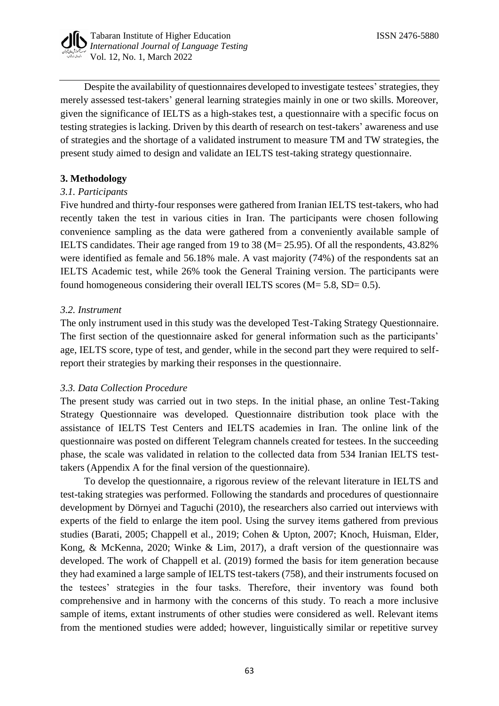

Despite the availability of questionnaires developed to investigate testees' strategies, they merely assessed test-takers' general learning strategies mainly in one or two skills. Moreover, given the significance of IELTS as a high-stakes test, a questionnaire with a specific focus on testing strategies is lacking. Driven by this dearth of research on test-takers' awareness and use of strategies and the shortage of a validated instrument to measure TM and TW strategies, the present study aimed to design and validate an IELTS test-taking strategy questionnaire.

# **3. Methodology**

## *3.1. Participants*

Five hundred and thirty-four responses were gathered from Iranian IELTS test-takers, who had recently taken the test in various cities in Iran. The participants were chosen following convenience sampling as the data were gathered from a conveniently available sample of IELTS candidates. Their age ranged from 19 to 38 (M= 25.95). Of all the respondents, 43.82% were identified as female and 56.18% male. A vast majority (74%) of the respondents sat an IELTS Academic test, while 26% took the General Training version. The participants were found homogeneous considering their overall IELTS scores  $(M = 5.8, SD = 0.5)$ .

## *3.2. Instrument*

The only instrument used in this study was the developed Test-Taking Strategy Questionnaire. The first section of the questionnaire asked for general information such as the participants' age, IELTS score, type of test, and gender, while in the second part they were required to selfreport their strategies by marking their responses in the questionnaire.

## *3.3. Data Collection Procedure*

The present study was carried out in two steps. In the initial phase, an online Test-Taking Strategy Questionnaire was developed. Questionnaire distribution took place with the assistance of IELTS Test Centers and IELTS academies in Iran. The online link of the questionnaire was posted on different Telegram channels created for testees. In the succeeding phase, the scale was validated in relation to the collected data from 534 Iranian IELTS testtakers (Appendix A for the final version of the questionnaire).

To develop the questionnaire, a rigorous review of the relevant literature in IELTS and test-taking strategies was performed. Following the standards and procedures of questionnaire development by Dörnyei and Taguchi (2010), the researchers also carried out interviews with experts of the field to enlarge the item pool. Using the survey items gathered from previous studies (Barati, 2005; Chappell et al., 2019; Cohen & Upton, 2007; Knoch, Huisman, Elder, Kong, & McKenna, 2020; Winke & Lim, 2017), a draft version of the questionnaire was developed. The work of Chappell et al. (2019) formed the basis for item generation because they had examined a large sample of IELTS test-takers (758), and their instruments focused on the testees' strategies in the four tasks. Therefore, their inventory was found both comprehensive and in harmony with the concerns of this study. To reach a more inclusive sample of items, extant instruments of other studies were considered as well. Relevant items from the mentioned studies were added; however, linguistically similar or repetitive survey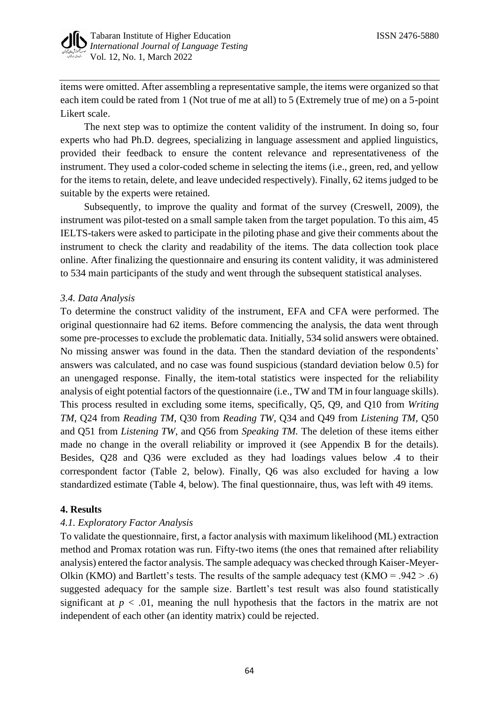

items were omitted. After assembling a representative sample, the items were organized so that each item could be rated from 1 (Not true of me at all) to 5 (Extremely true of me) on a 5-point Likert scale.

The next step was to optimize the content validity of the instrument. In doing so, four experts who had Ph.D. degrees, specializing in language assessment and applied linguistics, provided their feedback to ensure the content relevance and representativeness of the instrument. They used a color-coded scheme in selecting the items (i.e., green, red, and yellow for the items to retain, delete, and leave undecided respectively). Finally, 62 items judged to be suitable by the experts were retained.

Subsequently, to improve the quality and format of the survey (Creswell, 2009), the instrument was pilot-tested on a small sample taken from the target population. To this aim, 45 IELTS-takers were asked to participate in the piloting phase and give their comments about the instrument to check the clarity and readability of the items. The data collection took place online. After finalizing the questionnaire and ensuring its content validity, it was administered to 534 main participants of the study and went through the subsequent statistical analyses.

## *3.4. Data Analysis*

To determine the construct validity of the instrument, EFA and CFA were performed. The original questionnaire had 62 items. Before commencing the analysis, the data went through some pre-processes to exclude the problematic data. Initially, 534 solid answers were obtained. No missing answer was found in the data. Then the standard deviation of the respondents' answers was calculated, and no case was found suspicious (standard deviation below 0.5) for an unengaged response. Finally, the item-total statistics were inspected for the reliability analysis of eight potential factors of the questionnaire (i.e., TW and TM in four language skills). This process resulted in excluding some items, specifically, Q5, Q9, and Q10 from *Writing TM*, Q24 from *Reading TM*, Q30 from *Reading TW*, Q34 and Q49 from *Listening TM*, Q50 and Q51 from *Listening TW*, and Q56 from *Speaking TM.* The deletion of these items either made no change in the overall reliability or improved it (see Appendix B for the details). Besides, Q28 and Q36 were excluded as they had loadings values below .4 to their correspondent factor (Table 2, below). Finally, Q6 was also excluded for having a low standardized estimate (Table 4, below). The final questionnaire, thus, was left with 49 items.

## **4. Results**

# *4.1. Exploratory Factor Analysis*

To validate the questionnaire, first, a factor analysis with maximum likelihood (ML) extraction method and Promax rotation was run. Fifty-two items (the ones that remained after reliability analysis) entered the factor analysis. The sample adequacy was checked through Kaiser-Meyer-Olkin (KMO) and Bartlett's tests. The results of the sample adequacy test (KMO = .942  $>$  .6) suggested adequacy for the sample size. Bartlett's test result was also found statistically significant at  $p < .01$ , meaning the null hypothesis that the factors in the matrix are not independent of each other (an identity matrix) could be rejected.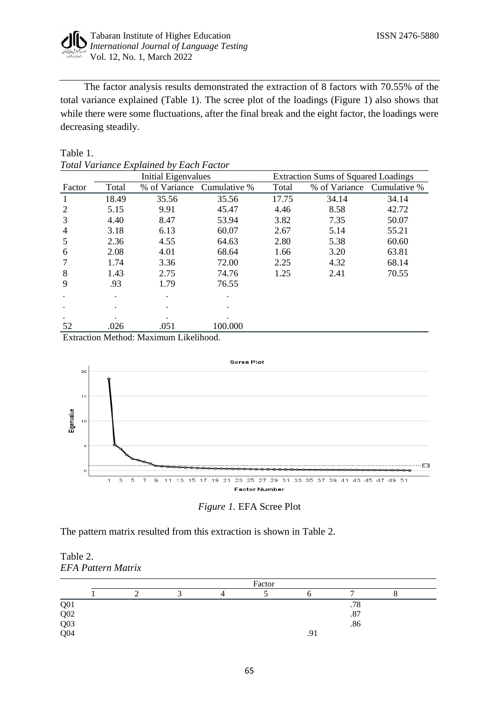

The factor analysis results demonstrated the extraction of 8 factors with 70.55% of the total variance explained (Table 1). The scree plot of the loadings (Figure 1) also shows that while there were some fluctuations, after the final break and the eight factor, the loadings were decreasing steadily.

Table 1.

|        |       | <b>Initial Eigenvalues</b> |              |       | <b>Extraction Sums of Squared Loadings</b> |              |  |  |
|--------|-------|----------------------------|--------------|-------|--------------------------------------------|--------------|--|--|
| Factor | Total | % of Variance              | Cumulative % | Total | % of Variance                              | Cumulative % |  |  |
|        | 18.49 | 35.56                      | 35.56        | 17.75 | 34.14                                      | 34.14        |  |  |
| 2      | 5.15  | 9.91                       | 45.47        | 4.46  | 8.58                                       | 42.72        |  |  |
| 3      | 4.40  | 8.47                       | 53.94        | 3.82  | 7.35                                       | 50.07        |  |  |
| 4      | 3.18  | 6.13                       | 60.07        | 2.67  | 5.14                                       | 55.21        |  |  |
| 5      | 2.36  | 4.55                       | 64.63        | 2.80  | 5.38                                       | 60.60        |  |  |
| 6      | 2.08  | 4.01                       | 68.64        | 1.66  | 3.20                                       | 63.81        |  |  |
|        | 1.74  | 3.36                       | 72.00        | 2.25  | 4.32                                       | 68.14        |  |  |
| 8      | 1.43  | 2.75                       | 74.76        | 1.25  | 2.41                                       | 70.55        |  |  |
| 9      | .93   | 1.79                       | 76.55        |       |                                            |              |  |  |
|        |       |                            |              |       |                                            |              |  |  |
|        |       |                            |              |       |                                            |              |  |  |
|        |       |                            |              |       |                                            |              |  |  |
| 52     | .026  | .051                       | 100.000      |       |                                            |              |  |  |

| TUUIVI. |                                                |  |
|---------|------------------------------------------------|--|
|         | <b>Total Variance Explained by Each Factor</b> |  |

Extraction Method: Maximum Likelihood.



| Figure 1. EFA Scree Plot |  |
|--------------------------|--|
|--------------------------|--|

The pattern matrix resulted from this extraction is shown in Table 2.

# Table 2. *EFA Pattern Matrix*

|                                        | Factor |  |  |  |  |     |     |  |  |
|----------------------------------------|--------|--|--|--|--|-----|-----|--|--|
|                                        |        |  |  |  |  |     |     |  |  |
|                                        |        |  |  |  |  |     | .78 |  |  |
|                                        |        |  |  |  |  |     | .87 |  |  |
|                                        |        |  |  |  |  |     | .86 |  |  |
| $\frac{Q01}{Q02}$<br>$\frac{Q03}{Q04}$ |        |  |  |  |  | .91 |     |  |  |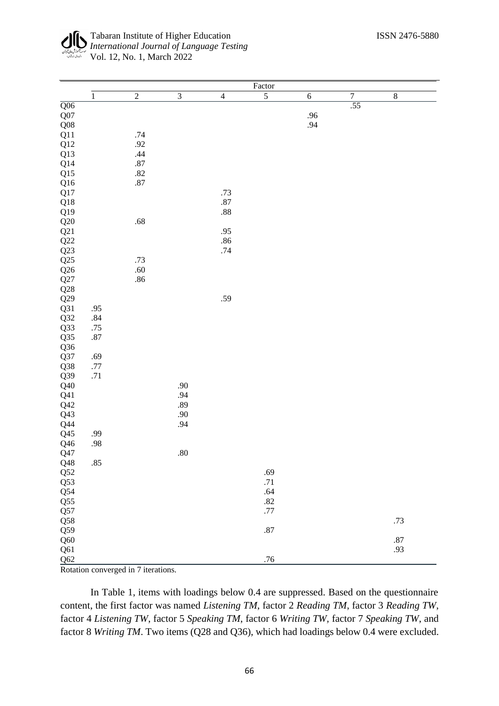|                                                                                        |                |                |                         |                | Factor         |            |                  |         |  |
|----------------------------------------------------------------------------------------|----------------|----------------|-------------------------|----------------|----------------|------------|------------------|---------|--|
|                                                                                        | $\overline{1}$ | $\overline{2}$ | $\overline{\mathbf{3}}$ | $\overline{4}$ | $\overline{5}$ | $\sqrt{6}$ | $\overline{7}$   | $\,8\,$ |  |
| $\overline{Q06}$                                                                       |                |                |                         |                |                |            | $\overline{.55}$ |         |  |
| $\rm Q07$                                                                              |                |                |                         |                |                | .96        |                  |         |  |
| $\rm Q08$                                                                              |                |                |                         |                |                | .94        |                  |         |  |
| $\mathsf{Q}11$                                                                         |                | .74            |                         |                |                |            |                  |         |  |
| $\mathbf{Q}12$                                                                         |                | .92            |                         |                |                |            |                  |         |  |
| $\mathbf{Q}13$                                                                         |                | .44            |                         |                |                |            |                  |         |  |
| Q14                                                                                    |                | .87            |                         |                |                |            |                  |         |  |
| $\mathbf{Q}15$                                                                         |                | $.82$<br>$.87$ |                         |                |                |            |                  |         |  |
| Q16                                                                                    |                |                |                         |                |                |            |                  |         |  |
| Q17                                                                                    |                |                |                         | .73            |                |            |                  |         |  |
| $\rm Q18$                                                                              |                |                |                         | .87            |                |            |                  |         |  |
| Q19                                                                                    |                |                |                         | .88            |                |            |                  |         |  |
| Q20                                                                                    |                | .68            |                         |                |                |            |                  |         |  |
| $\mathbf{Q}21$                                                                         |                |                |                         | .95            |                |            |                  |         |  |
| Q22                                                                                    |                |                |                         | .86            |                |            |                  |         |  |
| $\rm Q23$                                                                              |                |                |                         | .74            |                |            |                  |         |  |
|                                                                                        |                | .73            |                         |                |                |            |                  |         |  |
| $\overline{Q}$<br>$\overline{Q}$<br>$\overline{Q}$<br>$\overline{Q}$<br>$\overline{Q}$ |                |                |                         |                |                |            |                  |         |  |
|                                                                                        |                | $.60$<br>$.86$ |                         |                |                |            |                  |         |  |
| $\overline{Q}$<br>$\overline{Q}$<br>$28$                                               |                |                |                         |                |                |            |                  |         |  |
|                                                                                        |                |                |                         | .59            |                |            |                  |         |  |
| $Q29$<br>$Q31$<br>$Q32$<br>$Q33$                                                       | .95            |                |                         |                |                |            |                  |         |  |
|                                                                                        | $.84\,$        |                |                         |                |                |            |                  |         |  |
|                                                                                        | $.75\,$        |                |                         |                |                |            |                  |         |  |
|                                                                                        | $.87\,$        |                |                         |                |                |            |                  |         |  |
| $\overline{Q}$ 35<br>$\overline{Q}$ 36                                                 |                |                |                         |                |                |            |                  |         |  |
|                                                                                        |                |                |                         |                |                |            |                  |         |  |
| Q37                                                                                    | .69            |                |                         |                |                |            |                  |         |  |
| $\rm Q38$                                                                              | $.77\,$        |                |                         |                |                |            |                  |         |  |
| Q39                                                                                    | $.71\,$        |                |                         |                |                |            |                  |         |  |
| $\rm Q40$                                                                              |                |                | .90                     |                |                |            |                  |         |  |
| ${\sf Q41}$                                                                            |                |                | .94                     |                |                |            |                  |         |  |
| $\mathsf{Q}42$                                                                         |                |                | .89                     |                |                |            |                  |         |  |
| Q <sub>43</sub>                                                                        |                |                | .90                     |                |                |            |                  |         |  |
| $Q$ 44                                                                                 |                |                | .94                     |                |                |            |                  |         |  |
| $\mathsf{Q45}$                                                                         | .99            |                |                         |                |                |            |                  |         |  |
| Q46                                                                                    | .98            |                |                         |                |                |            |                  |         |  |
| Q47                                                                                    |                |                | .80                     |                |                |            |                  |         |  |
| Q48                                                                                    | .85            |                |                         |                |                |            |                  |         |  |
| $\overline{Q52}$<br>$\overline{Q53}$                                                   |                |                |                         |                | .69            |            |                  |         |  |
|                                                                                        |                |                |                         |                | $.71\,$        |            |                  |         |  |
| $\overline{Q54}$<br>$\overline{Q55}$                                                   |                |                |                         |                | .64            |            |                  |         |  |
|                                                                                        |                |                |                         |                | .82            |            |                  |         |  |
| Q57                                                                                    |                |                |                         |                | .77            |            |                  |         |  |
| $\overline{Q58}$<br>$\overline{Q59}$                                                   |                |                |                         |                |                |            |                  | .73     |  |
|                                                                                        |                |                |                         |                | .87            |            |                  |         |  |
| Q60                                                                                    |                |                |                         |                |                |            |                  | .87     |  |
| Q61                                                                                    |                |                |                         |                |                |            |                  | .93     |  |
| Q62                                                                                    |                |                |                         |                | .76            |            |                  |         |  |

Rotation converged in 7 iterations.

In Table 1, items with loadings below 0.4 are suppressed. Based on the questionnaire content, the first factor was named *Listening TM*, factor 2 *Reading TM*, factor 3 *Reading TW*, factor 4 *Listening TW*, factor 5 *Speaking TM*, factor 6 *Writing TW,* factor 7 *Speaking TW*, and factor 8 *Writing TM*. Two items (Q28 and Q36), which had loadings below 0.4 were excluded.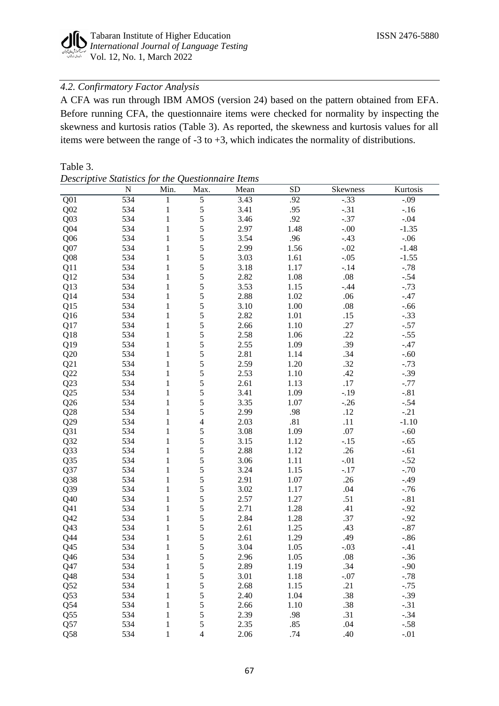# *4.2. Confirmatory Factor Analysis*

A CFA was run through IBM AMOS (version 24) based on the pattern obtained from EFA. Before running CFA, the questionnaire items were checked for normality by inspecting the skewness and kurtosis ratios (Table 3). As reported, the skewness and kurtosis values for all items were between the range of -3 to +3, which indicates the normality of distributions.

#### Table 3.

*Descriptive Statistics for the Questionnaire Items*

| $\overline{5}$<br>534<br>3.43<br>.92<br>$-.33$<br>$-.09$<br>Q <sub>01</sub><br>1<br>5<br>$-.31$<br>Q <sub>02</sub><br>534<br>$\mathbf 1$<br>3.41<br>.95<br>$-.16$<br>5<br>534<br>$\mathbf{1}$<br>3.46<br>.92<br>$-.37$<br>$-.04$<br>Q <sub>03</sub><br>5<br>Q <sub>04</sub><br>534<br>$\mathbf{1}$<br>2.97<br>1.48<br>$-.00$<br>$-1.35$<br>5<br>3.54<br>Q <sub>06</sub><br>534<br>$\mathbf{1}$<br>.96<br>$-.43$<br>$-.06$<br>5<br>Q <sub>07</sub><br>534<br>2.99<br>1.56<br>$-.02$<br>$-1.48$<br>$\mathbf{1}$<br>5<br>Q <sub>08</sub><br>534<br>3.03<br>$-.05$<br>$-1.55$<br>$\mathbf{1}$<br>1.61<br>5<br>Q11<br>534<br>$\mathbf{1}$<br>3.18<br>1.17<br>$-.14$<br>$-.78$<br>5<br>534<br>2.82<br>$.08\,$<br>Q12<br>$\mathbf{1}$<br>1.08<br>$-.54$<br>5<br>Q13<br>534<br>3.53<br>$\mathbf{1}$<br>1.15<br>$-.44$<br>$-.73$<br>5<br>Q14<br>534<br>2.88<br>$\mathbf{1}$<br>1.02<br>.06<br>$-.47$<br>5<br>Q15<br>534<br>3.10<br>1.00<br>$.08\,$<br>1<br>$-.66$<br>5<br>534<br>2.82<br>Q16<br>$\mathbf{1}$<br>1.01<br>.15<br>$-.33$<br>5<br>534<br>2.66<br>.27<br>$-.57$<br>Q17<br>$\mathbf{1}$<br>1.10<br>5<br>534<br>2.58<br>.22<br>$-.55$<br>Q18<br>$\mathbf{1}$<br>1.06<br>5<br>Q19<br>534<br>$\mathbf{1}$<br>2.55<br>.39<br>1.09<br>$-.47$<br>5<br>Q20<br>534<br>2.81<br>.34<br>$\mathbf{1}$<br>1.14<br>$-.60$<br>5<br>Q21<br>2.59<br>.32<br>534<br>$\mathbf{1}$<br>1.20<br>$-.73$<br>5<br>Q22<br>534<br>.42<br>$-.39$<br>$\mathbf{1}$<br>2.53<br>1.10<br>5<br>Q23<br>534<br>$.17$<br>$-.77$<br>$\mathbf{1}$<br>2.61<br>1.13<br>5<br>Q25<br>534<br>$\mathbf{1}$<br>3.41<br>1.09<br>$-.19$<br>$-.81$<br>5<br>Q26<br>534<br>3.35<br>$\mathbf{1}$<br>1.07<br>$-.26$<br>$-.54$<br>5<br>534<br>2.99<br>Q28<br>1<br>.98<br>.12<br>$-.21$<br>$\overline{4}$<br>534<br>2.03<br>.81<br>Q29<br>1<br>.11<br>$-1.10$<br>5<br>.07<br>534<br>3.08<br>Q31<br>$\mathbf{1}$<br>1.09<br>$-.60$<br>5<br>534<br>3.15<br>Q32<br>$\mathbf{1}$<br>1.12<br>$-.15$<br>$-.65$<br>5<br>534<br>$\mathbf{1}$<br>2.88<br>1.12<br>.26<br>$-.61$<br>Q33<br>5<br>Q35<br>534<br>$\mathbf{1}$<br>3.06<br>1.11<br>$-.01$<br>$-.52$<br>5<br>Q37<br>534<br>3.24<br>$-.17$<br>$-.70$<br>$\mathbf{1}$<br>1.15<br>5<br>Q38<br>534<br>2.91<br>.26<br>$-.49$<br>$\mathbf{1}$<br>1.07<br>5<br>Q39<br>534<br>3.02<br>$\mathbf{1}$<br>1.17<br>.04<br>$-.76$<br>5<br>Q40<br>534<br>2.57<br>.51<br>$-.81$<br>$\mathbf{1}$<br>1.27<br>5<br>Q41<br>534<br>2.71<br>1.28<br>.41<br>$\mathbf{1}$<br>$-.92$<br>5<br>Q42<br>534<br>2.84<br>1.28<br>.37<br>$\mathbf{1}$<br>$-.92$<br>5<br>534<br>Q <sub>43</sub><br>$\mathbf{1}$<br>2.61<br>1.25<br>.43<br>$-.87$<br>5<br>Q44<br>534<br>2.61<br>1.29<br>1<br>.49<br>$-.86$<br>5<br>534<br>3.04<br>Q45<br>$\mathbf{1}$<br>1.05<br>$-.03$<br>$-.41$<br>5<br>534<br>$\mathbf{1}$<br>2.96<br>.08<br>$-.36$<br>Q46<br>1.05<br>5<br>$\mathbf 1$<br>Q47<br>534<br>2.89<br>1.19<br>.34<br>$-.90$<br>$\frac{5}{5}$<br>Q48<br>534<br>$\mathbf 1$<br>3.01<br>$-.07$<br>1.18<br>$-.78$<br>.21<br>534<br>$\mathbf 1$<br>Q52<br>2.68<br>1.15<br>$-.75$<br>5<br>Q53<br>534<br>$\mathbf 1$<br>2.40<br>.38<br>1.04<br>$-.39$<br>5<br>Q54<br>534<br>.38<br>$\mathbf{1}$<br>2.66<br>1.10<br>$-.31$<br>5<br>Q55<br>534<br>2.39<br>.31<br>$\mathbf{1}$<br>.98<br>$-.34$<br>$\sqrt{5}$<br>Q57<br>534<br>$\mathbf{1}$<br>2.35<br>.85<br>.04<br>$-.58$<br>$\overline{4}$<br>Q58<br>534<br>$\mathbf{1}$<br>2.06<br>.74<br>.40<br>$-.01$ | $\mathbf N$ | Min. | Max. | Mean | <b>SD</b> | Skewness | Kurtosis |
|------------------------------------------------------------------------------------------------------------------------------------------------------------------------------------------------------------------------------------------------------------------------------------------------------------------------------------------------------------------------------------------------------------------------------------------------------------------------------------------------------------------------------------------------------------------------------------------------------------------------------------------------------------------------------------------------------------------------------------------------------------------------------------------------------------------------------------------------------------------------------------------------------------------------------------------------------------------------------------------------------------------------------------------------------------------------------------------------------------------------------------------------------------------------------------------------------------------------------------------------------------------------------------------------------------------------------------------------------------------------------------------------------------------------------------------------------------------------------------------------------------------------------------------------------------------------------------------------------------------------------------------------------------------------------------------------------------------------------------------------------------------------------------------------------------------------------------------------------------------------------------------------------------------------------------------------------------------------------------------------------------------------------------------------------------------------------------------------------------------------------------------------------------------------------------------------------------------------------------------------------------------------------------------------------------------------------------------------------------------------------------------------------------------------------------------------------------------------------------------------------------------------------------------------------------------------------------------------------------------------------------------------------------------------------------------------------------------------------------------------------------------------------------------------------------------------------------------------------------------------------------------------------------------------------------------------------------------------------------------------------------------------------------------------------------------------------------------------------------------------------------------------------------------------------------------------------------------------------------------------------------------------------------------------------------------------------------------------------------------------------------------------------|-------------|------|------|------|-----------|----------|----------|
|                                                                                                                                                                                                                                                                                                                                                                                                                                                                                                                                                                                                                                                                                                                                                                                                                                                                                                                                                                                                                                                                                                                                                                                                                                                                                                                                                                                                                                                                                                                                                                                                                                                                                                                                                                                                                                                                                                                                                                                                                                                                                                                                                                                                                                                                                                                                                                                                                                                                                                                                                                                                                                                                                                                                                                                                                                                                                                                                                                                                                                                                                                                                                                                                                                                                                                                                                                                                      |             |      |      |      |           |          |          |
|                                                                                                                                                                                                                                                                                                                                                                                                                                                                                                                                                                                                                                                                                                                                                                                                                                                                                                                                                                                                                                                                                                                                                                                                                                                                                                                                                                                                                                                                                                                                                                                                                                                                                                                                                                                                                                                                                                                                                                                                                                                                                                                                                                                                                                                                                                                                                                                                                                                                                                                                                                                                                                                                                                                                                                                                                                                                                                                                                                                                                                                                                                                                                                                                                                                                                                                                                                                                      |             |      |      |      |           |          |          |
|                                                                                                                                                                                                                                                                                                                                                                                                                                                                                                                                                                                                                                                                                                                                                                                                                                                                                                                                                                                                                                                                                                                                                                                                                                                                                                                                                                                                                                                                                                                                                                                                                                                                                                                                                                                                                                                                                                                                                                                                                                                                                                                                                                                                                                                                                                                                                                                                                                                                                                                                                                                                                                                                                                                                                                                                                                                                                                                                                                                                                                                                                                                                                                                                                                                                                                                                                                                                      |             |      |      |      |           |          |          |
|                                                                                                                                                                                                                                                                                                                                                                                                                                                                                                                                                                                                                                                                                                                                                                                                                                                                                                                                                                                                                                                                                                                                                                                                                                                                                                                                                                                                                                                                                                                                                                                                                                                                                                                                                                                                                                                                                                                                                                                                                                                                                                                                                                                                                                                                                                                                                                                                                                                                                                                                                                                                                                                                                                                                                                                                                                                                                                                                                                                                                                                                                                                                                                                                                                                                                                                                                                                                      |             |      |      |      |           |          |          |
|                                                                                                                                                                                                                                                                                                                                                                                                                                                                                                                                                                                                                                                                                                                                                                                                                                                                                                                                                                                                                                                                                                                                                                                                                                                                                                                                                                                                                                                                                                                                                                                                                                                                                                                                                                                                                                                                                                                                                                                                                                                                                                                                                                                                                                                                                                                                                                                                                                                                                                                                                                                                                                                                                                                                                                                                                                                                                                                                                                                                                                                                                                                                                                                                                                                                                                                                                                                                      |             |      |      |      |           |          |          |
|                                                                                                                                                                                                                                                                                                                                                                                                                                                                                                                                                                                                                                                                                                                                                                                                                                                                                                                                                                                                                                                                                                                                                                                                                                                                                                                                                                                                                                                                                                                                                                                                                                                                                                                                                                                                                                                                                                                                                                                                                                                                                                                                                                                                                                                                                                                                                                                                                                                                                                                                                                                                                                                                                                                                                                                                                                                                                                                                                                                                                                                                                                                                                                                                                                                                                                                                                                                                      |             |      |      |      |           |          |          |
|                                                                                                                                                                                                                                                                                                                                                                                                                                                                                                                                                                                                                                                                                                                                                                                                                                                                                                                                                                                                                                                                                                                                                                                                                                                                                                                                                                                                                                                                                                                                                                                                                                                                                                                                                                                                                                                                                                                                                                                                                                                                                                                                                                                                                                                                                                                                                                                                                                                                                                                                                                                                                                                                                                                                                                                                                                                                                                                                                                                                                                                                                                                                                                                                                                                                                                                                                                                                      |             |      |      |      |           |          |          |
|                                                                                                                                                                                                                                                                                                                                                                                                                                                                                                                                                                                                                                                                                                                                                                                                                                                                                                                                                                                                                                                                                                                                                                                                                                                                                                                                                                                                                                                                                                                                                                                                                                                                                                                                                                                                                                                                                                                                                                                                                                                                                                                                                                                                                                                                                                                                                                                                                                                                                                                                                                                                                                                                                                                                                                                                                                                                                                                                                                                                                                                                                                                                                                                                                                                                                                                                                                                                      |             |      |      |      |           |          |          |
|                                                                                                                                                                                                                                                                                                                                                                                                                                                                                                                                                                                                                                                                                                                                                                                                                                                                                                                                                                                                                                                                                                                                                                                                                                                                                                                                                                                                                                                                                                                                                                                                                                                                                                                                                                                                                                                                                                                                                                                                                                                                                                                                                                                                                                                                                                                                                                                                                                                                                                                                                                                                                                                                                                                                                                                                                                                                                                                                                                                                                                                                                                                                                                                                                                                                                                                                                                                                      |             |      |      |      |           |          |          |
|                                                                                                                                                                                                                                                                                                                                                                                                                                                                                                                                                                                                                                                                                                                                                                                                                                                                                                                                                                                                                                                                                                                                                                                                                                                                                                                                                                                                                                                                                                                                                                                                                                                                                                                                                                                                                                                                                                                                                                                                                                                                                                                                                                                                                                                                                                                                                                                                                                                                                                                                                                                                                                                                                                                                                                                                                                                                                                                                                                                                                                                                                                                                                                                                                                                                                                                                                                                                      |             |      |      |      |           |          |          |
|                                                                                                                                                                                                                                                                                                                                                                                                                                                                                                                                                                                                                                                                                                                                                                                                                                                                                                                                                                                                                                                                                                                                                                                                                                                                                                                                                                                                                                                                                                                                                                                                                                                                                                                                                                                                                                                                                                                                                                                                                                                                                                                                                                                                                                                                                                                                                                                                                                                                                                                                                                                                                                                                                                                                                                                                                                                                                                                                                                                                                                                                                                                                                                                                                                                                                                                                                                                                      |             |      |      |      |           |          |          |
|                                                                                                                                                                                                                                                                                                                                                                                                                                                                                                                                                                                                                                                                                                                                                                                                                                                                                                                                                                                                                                                                                                                                                                                                                                                                                                                                                                                                                                                                                                                                                                                                                                                                                                                                                                                                                                                                                                                                                                                                                                                                                                                                                                                                                                                                                                                                                                                                                                                                                                                                                                                                                                                                                                                                                                                                                                                                                                                                                                                                                                                                                                                                                                                                                                                                                                                                                                                                      |             |      |      |      |           |          |          |
|                                                                                                                                                                                                                                                                                                                                                                                                                                                                                                                                                                                                                                                                                                                                                                                                                                                                                                                                                                                                                                                                                                                                                                                                                                                                                                                                                                                                                                                                                                                                                                                                                                                                                                                                                                                                                                                                                                                                                                                                                                                                                                                                                                                                                                                                                                                                                                                                                                                                                                                                                                                                                                                                                                                                                                                                                                                                                                                                                                                                                                                                                                                                                                                                                                                                                                                                                                                                      |             |      |      |      |           |          |          |
|                                                                                                                                                                                                                                                                                                                                                                                                                                                                                                                                                                                                                                                                                                                                                                                                                                                                                                                                                                                                                                                                                                                                                                                                                                                                                                                                                                                                                                                                                                                                                                                                                                                                                                                                                                                                                                                                                                                                                                                                                                                                                                                                                                                                                                                                                                                                                                                                                                                                                                                                                                                                                                                                                                                                                                                                                                                                                                                                                                                                                                                                                                                                                                                                                                                                                                                                                                                                      |             |      |      |      |           |          |          |
|                                                                                                                                                                                                                                                                                                                                                                                                                                                                                                                                                                                                                                                                                                                                                                                                                                                                                                                                                                                                                                                                                                                                                                                                                                                                                                                                                                                                                                                                                                                                                                                                                                                                                                                                                                                                                                                                                                                                                                                                                                                                                                                                                                                                                                                                                                                                                                                                                                                                                                                                                                                                                                                                                                                                                                                                                                                                                                                                                                                                                                                                                                                                                                                                                                                                                                                                                                                                      |             |      |      |      |           |          |          |
|                                                                                                                                                                                                                                                                                                                                                                                                                                                                                                                                                                                                                                                                                                                                                                                                                                                                                                                                                                                                                                                                                                                                                                                                                                                                                                                                                                                                                                                                                                                                                                                                                                                                                                                                                                                                                                                                                                                                                                                                                                                                                                                                                                                                                                                                                                                                                                                                                                                                                                                                                                                                                                                                                                                                                                                                                                                                                                                                                                                                                                                                                                                                                                                                                                                                                                                                                                                                      |             |      |      |      |           |          |          |
|                                                                                                                                                                                                                                                                                                                                                                                                                                                                                                                                                                                                                                                                                                                                                                                                                                                                                                                                                                                                                                                                                                                                                                                                                                                                                                                                                                                                                                                                                                                                                                                                                                                                                                                                                                                                                                                                                                                                                                                                                                                                                                                                                                                                                                                                                                                                                                                                                                                                                                                                                                                                                                                                                                                                                                                                                                                                                                                                                                                                                                                                                                                                                                                                                                                                                                                                                                                                      |             |      |      |      |           |          |          |
|                                                                                                                                                                                                                                                                                                                                                                                                                                                                                                                                                                                                                                                                                                                                                                                                                                                                                                                                                                                                                                                                                                                                                                                                                                                                                                                                                                                                                                                                                                                                                                                                                                                                                                                                                                                                                                                                                                                                                                                                                                                                                                                                                                                                                                                                                                                                                                                                                                                                                                                                                                                                                                                                                                                                                                                                                                                                                                                                                                                                                                                                                                                                                                                                                                                                                                                                                                                                      |             |      |      |      |           |          |          |
|                                                                                                                                                                                                                                                                                                                                                                                                                                                                                                                                                                                                                                                                                                                                                                                                                                                                                                                                                                                                                                                                                                                                                                                                                                                                                                                                                                                                                                                                                                                                                                                                                                                                                                                                                                                                                                                                                                                                                                                                                                                                                                                                                                                                                                                                                                                                                                                                                                                                                                                                                                                                                                                                                                                                                                                                                                                                                                                                                                                                                                                                                                                                                                                                                                                                                                                                                                                                      |             |      |      |      |           |          |          |
|                                                                                                                                                                                                                                                                                                                                                                                                                                                                                                                                                                                                                                                                                                                                                                                                                                                                                                                                                                                                                                                                                                                                                                                                                                                                                                                                                                                                                                                                                                                                                                                                                                                                                                                                                                                                                                                                                                                                                                                                                                                                                                                                                                                                                                                                                                                                                                                                                                                                                                                                                                                                                                                                                                                                                                                                                                                                                                                                                                                                                                                                                                                                                                                                                                                                                                                                                                                                      |             |      |      |      |           |          |          |
|                                                                                                                                                                                                                                                                                                                                                                                                                                                                                                                                                                                                                                                                                                                                                                                                                                                                                                                                                                                                                                                                                                                                                                                                                                                                                                                                                                                                                                                                                                                                                                                                                                                                                                                                                                                                                                                                                                                                                                                                                                                                                                                                                                                                                                                                                                                                                                                                                                                                                                                                                                                                                                                                                                                                                                                                                                                                                                                                                                                                                                                                                                                                                                                                                                                                                                                                                                                                      |             |      |      |      |           |          |          |
|                                                                                                                                                                                                                                                                                                                                                                                                                                                                                                                                                                                                                                                                                                                                                                                                                                                                                                                                                                                                                                                                                                                                                                                                                                                                                                                                                                                                                                                                                                                                                                                                                                                                                                                                                                                                                                                                                                                                                                                                                                                                                                                                                                                                                                                                                                                                                                                                                                                                                                                                                                                                                                                                                                                                                                                                                                                                                                                                                                                                                                                                                                                                                                                                                                                                                                                                                                                                      |             |      |      |      |           |          |          |
|                                                                                                                                                                                                                                                                                                                                                                                                                                                                                                                                                                                                                                                                                                                                                                                                                                                                                                                                                                                                                                                                                                                                                                                                                                                                                                                                                                                                                                                                                                                                                                                                                                                                                                                                                                                                                                                                                                                                                                                                                                                                                                                                                                                                                                                                                                                                                                                                                                                                                                                                                                                                                                                                                                                                                                                                                                                                                                                                                                                                                                                                                                                                                                                                                                                                                                                                                                                                      |             |      |      |      |           |          |          |
|                                                                                                                                                                                                                                                                                                                                                                                                                                                                                                                                                                                                                                                                                                                                                                                                                                                                                                                                                                                                                                                                                                                                                                                                                                                                                                                                                                                                                                                                                                                                                                                                                                                                                                                                                                                                                                                                                                                                                                                                                                                                                                                                                                                                                                                                                                                                                                                                                                                                                                                                                                                                                                                                                                                                                                                                                                                                                                                                                                                                                                                                                                                                                                                                                                                                                                                                                                                                      |             |      |      |      |           |          |          |
|                                                                                                                                                                                                                                                                                                                                                                                                                                                                                                                                                                                                                                                                                                                                                                                                                                                                                                                                                                                                                                                                                                                                                                                                                                                                                                                                                                                                                                                                                                                                                                                                                                                                                                                                                                                                                                                                                                                                                                                                                                                                                                                                                                                                                                                                                                                                                                                                                                                                                                                                                                                                                                                                                                                                                                                                                                                                                                                                                                                                                                                                                                                                                                                                                                                                                                                                                                                                      |             |      |      |      |           |          |          |
|                                                                                                                                                                                                                                                                                                                                                                                                                                                                                                                                                                                                                                                                                                                                                                                                                                                                                                                                                                                                                                                                                                                                                                                                                                                                                                                                                                                                                                                                                                                                                                                                                                                                                                                                                                                                                                                                                                                                                                                                                                                                                                                                                                                                                                                                                                                                                                                                                                                                                                                                                                                                                                                                                                                                                                                                                                                                                                                                                                                                                                                                                                                                                                                                                                                                                                                                                                                                      |             |      |      |      |           |          |          |
|                                                                                                                                                                                                                                                                                                                                                                                                                                                                                                                                                                                                                                                                                                                                                                                                                                                                                                                                                                                                                                                                                                                                                                                                                                                                                                                                                                                                                                                                                                                                                                                                                                                                                                                                                                                                                                                                                                                                                                                                                                                                                                                                                                                                                                                                                                                                                                                                                                                                                                                                                                                                                                                                                                                                                                                                                                                                                                                                                                                                                                                                                                                                                                                                                                                                                                                                                                                                      |             |      |      |      |           |          |          |
|                                                                                                                                                                                                                                                                                                                                                                                                                                                                                                                                                                                                                                                                                                                                                                                                                                                                                                                                                                                                                                                                                                                                                                                                                                                                                                                                                                                                                                                                                                                                                                                                                                                                                                                                                                                                                                                                                                                                                                                                                                                                                                                                                                                                                                                                                                                                                                                                                                                                                                                                                                                                                                                                                                                                                                                                                                                                                                                                                                                                                                                                                                                                                                                                                                                                                                                                                                                                      |             |      |      |      |           |          |          |
|                                                                                                                                                                                                                                                                                                                                                                                                                                                                                                                                                                                                                                                                                                                                                                                                                                                                                                                                                                                                                                                                                                                                                                                                                                                                                                                                                                                                                                                                                                                                                                                                                                                                                                                                                                                                                                                                                                                                                                                                                                                                                                                                                                                                                                                                                                                                                                                                                                                                                                                                                                                                                                                                                                                                                                                                                                                                                                                                                                                                                                                                                                                                                                                                                                                                                                                                                                                                      |             |      |      |      |           |          |          |
|                                                                                                                                                                                                                                                                                                                                                                                                                                                                                                                                                                                                                                                                                                                                                                                                                                                                                                                                                                                                                                                                                                                                                                                                                                                                                                                                                                                                                                                                                                                                                                                                                                                                                                                                                                                                                                                                                                                                                                                                                                                                                                                                                                                                                                                                                                                                                                                                                                                                                                                                                                                                                                                                                                                                                                                                                                                                                                                                                                                                                                                                                                                                                                                                                                                                                                                                                                                                      |             |      |      |      |           |          |          |
|                                                                                                                                                                                                                                                                                                                                                                                                                                                                                                                                                                                                                                                                                                                                                                                                                                                                                                                                                                                                                                                                                                                                                                                                                                                                                                                                                                                                                                                                                                                                                                                                                                                                                                                                                                                                                                                                                                                                                                                                                                                                                                                                                                                                                                                                                                                                                                                                                                                                                                                                                                                                                                                                                                                                                                                                                                                                                                                                                                                                                                                                                                                                                                                                                                                                                                                                                                                                      |             |      |      |      |           |          |          |
|                                                                                                                                                                                                                                                                                                                                                                                                                                                                                                                                                                                                                                                                                                                                                                                                                                                                                                                                                                                                                                                                                                                                                                                                                                                                                                                                                                                                                                                                                                                                                                                                                                                                                                                                                                                                                                                                                                                                                                                                                                                                                                                                                                                                                                                                                                                                                                                                                                                                                                                                                                                                                                                                                                                                                                                                                                                                                                                                                                                                                                                                                                                                                                                                                                                                                                                                                                                                      |             |      |      |      |           |          |          |
|                                                                                                                                                                                                                                                                                                                                                                                                                                                                                                                                                                                                                                                                                                                                                                                                                                                                                                                                                                                                                                                                                                                                                                                                                                                                                                                                                                                                                                                                                                                                                                                                                                                                                                                                                                                                                                                                                                                                                                                                                                                                                                                                                                                                                                                                                                                                                                                                                                                                                                                                                                                                                                                                                                                                                                                                                                                                                                                                                                                                                                                                                                                                                                                                                                                                                                                                                                                                      |             |      |      |      |           |          |          |
|                                                                                                                                                                                                                                                                                                                                                                                                                                                                                                                                                                                                                                                                                                                                                                                                                                                                                                                                                                                                                                                                                                                                                                                                                                                                                                                                                                                                                                                                                                                                                                                                                                                                                                                                                                                                                                                                                                                                                                                                                                                                                                                                                                                                                                                                                                                                                                                                                                                                                                                                                                                                                                                                                                                                                                                                                                                                                                                                                                                                                                                                                                                                                                                                                                                                                                                                                                                                      |             |      |      |      |           |          |          |
|                                                                                                                                                                                                                                                                                                                                                                                                                                                                                                                                                                                                                                                                                                                                                                                                                                                                                                                                                                                                                                                                                                                                                                                                                                                                                                                                                                                                                                                                                                                                                                                                                                                                                                                                                                                                                                                                                                                                                                                                                                                                                                                                                                                                                                                                                                                                                                                                                                                                                                                                                                                                                                                                                                                                                                                                                                                                                                                                                                                                                                                                                                                                                                                                                                                                                                                                                                                                      |             |      |      |      |           |          |          |
|                                                                                                                                                                                                                                                                                                                                                                                                                                                                                                                                                                                                                                                                                                                                                                                                                                                                                                                                                                                                                                                                                                                                                                                                                                                                                                                                                                                                                                                                                                                                                                                                                                                                                                                                                                                                                                                                                                                                                                                                                                                                                                                                                                                                                                                                                                                                                                                                                                                                                                                                                                                                                                                                                                                                                                                                                                                                                                                                                                                                                                                                                                                                                                                                                                                                                                                                                                                                      |             |      |      |      |           |          |          |
|                                                                                                                                                                                                                                                                                                                                                                                                                                                                                                                                                                                                                                                                                                                                                                                                                                                                                                                                                                                                                                                                                                                                                                                                                                                                                                                                                                                                                                                                                                                                                                                                                                                                                                                                                                                                                                                                                                                                                                                                                                                                                                                                                                                                                                                                                                                                                                                                                                                                                                                                                                                                                                                                                                                                                                                                                                                                                                                                                                                                                                                                                                                                                                                                                                                                                                                                                                                                      |             |      |      |      |           |          |          |
|                                                                                                                                                                                                                                                                                                                                                                                                                                                                                                                                                                                                                                                                                                                                                                                                                                                                                                                                                                                                                                                                                                                                                                                                                                                                                                                                                                                                                                                                                                                                                                                                                                                                                                                                                                                                                                                                                                                                                                                                                                                                                                                                                                                                                                                                                                                                                                                                                                                                                                                                                                                                                                                                                                                                                                                                                                                                                                                                                                                                                                                                                                                                                                                                                                                                                                                                                                                                      |             |      |      |      |           |          |          |
|                                                                                                                                                                                                                                                                                                                                                                                                                                                                                                                                                                                                                                                                                                                                                                                                                                                                                                                                                                                                                                                                                                                                                                                                                                                                                                                                                                                                                                                                                                                                                                                                                                                                                                                                                                                                                                                                                                                                                                                                                                                                                                                                                                                                                                                                                                                                                                                                                                                                                                                                                                                                                                                                                                                                                                                                                                                                                                                                                                                                                                                                                                                                                                                                                                                                                                                                                                                                      |             |      |      |      |           |          |          |
|                                                                                                                                                                                                                                                                                                                                                                                                                                                                                                                                                                                                                                                                                                                                                                                                                                                                                                                                                                                                                                                                                                                                                                                                                                                                                                                                                                                                                                                                                                                                                                                                                                                                                                                                                                                                                                                                                                                                                                                                                                                                                                                                                                                                                                                                                                                                                                                                                                                                                                                                                                                                                                                                                                                                                                                                                                                                                                                                                                                                                                                                                                                                                                                                                                                                                                                                                                                                      |             |      |      |      |           |          |          |
|                                                                                                                                                                                                                                                                                                                                                                                                                                                                                                                                                                                                                                                                                                                                                                                                                                                                                                                                                                                                                                                                                                                                                                                                                                                                                                                                                                                                                                                                                                                                                                                                                                                                                                                                                                                                                                                                                                                                                                                                                                                                                                                                                                                                                                                                                                                                                                                                                                                                                                                                                                                                                                                                                                                                                                                                                                                                                                                                                                                                                                                                                                                                                                                                                                                                                                                                                                                                      |             |      |      |      |           |          |          |
|                                                                                                                                                                                                                                                                                                                                                                                                                                                                                                                                                                                                                                                                                                                                                                                                                                                                                                                                                                                                                                                                                                                                                                                                                                                                                                                                                                                                                                                                                                                                                                                                                                                                                                                                                                                                                                                                                                                                                                                                                                                                                                                                                                                                                                                                                                                                                                                                                                                                                                                                                                                                                                                                                                                                                                                                                                                                                                                                                                                                                                                                                                                                                                                                                                                                                                                                                                                                      |             |      |      |      |           |          |          |
|                                                                                                                                                                                                                                                                                                                                                                                                                                                                                                                                                                                                                                                                                                                                                                                                                                                                                                                                                                                                                                                                                                                                                                                                                                                                                                                                                                                                                                                                                                                                                                                                                                                                                                                                                                                                                                                                                                                                                                                                                                                                                                                                                                                                                                                                                                                                                                                                                                                                                                                                                                                                                                                                                                                                                                                                                                                                                                                                                                                                                                                                                                                                                                                                                                                                                                                                                                                                      |             |      |      |      |           |          |          |
|                                                                                                                                                                                                                                                                                                                                                                                                                                                                                                                                                                                                                                                                                                                                                                                                                                                                                                                                                                                                                                                                                                                                                                                                                                                                                                                                                                                                                                                                                                                                                                                                                                                                                                                                                                                                                                                                                                                                                                                                                                                                                                                                                                                                                                                                                                                                                                                                                                                                                                                                                                                                                                                                                                                                                                                                                                                                                                                                                                                                                                                                                                                                                                                                                                                                                                                                                                                                      |             |      |      |      |           |          |          |
|                                                                                                                                                                                                                                                                                                                                                                                                                                                                                                                                                                                                                                                                                                                                                                                                                                                                                                                                                                                                                                                                                                                                                                                                                                                                                                                                                                                                                                                                                                                                                                                                                                                                                                                                                                                                                                                                                                                                                                                                                                                                                                                                                                                                                                                                                                                                                                                                                                                                                                                                                                                                                                                                                                                                                                                                                                                                                                                                                                                                                                                                                                                                                                                                                                                                                                                                                                                                      |             |      |      |      |           |          |          |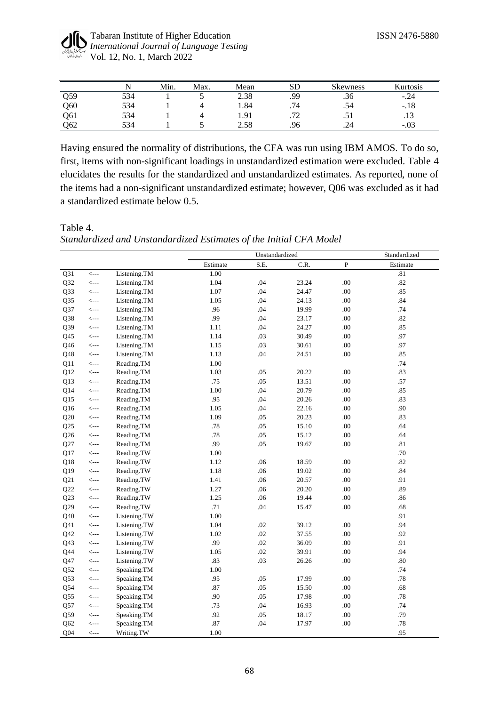|     |     | Min. | Max. | Mean | <b>SD</b>                      | <b>Skewness</b> | Kurtosis |
|-----|-----|------|------|------|--------------------------------|-----------------|----------|
| Q59 | 534 |      | ັ    | 2.38 | .99                            | $\sim$<br>.36   | $-.24$   |
| Q60 | 534 |      |      | 1.84 | .74                            | .54             | $-.18$   |
| Q61 | 534 |      |      | 1.91 | $\mathbf{a}$<br>$\cdot$ $\sim$ |                 | .19      |
| Q62 | 534 |      |      | 2.58 | .96                            | .24             | $-.03$   |

Having ensured the normality of distributions, the CFA was run using IBM AMOS. To do so, first, items with non-significant loadings in unstandardized estimation were excluded. Table 4 elucidates the results for the standardized and unstandardized estimates. As reported, none of the items had a non-significant unstandardized estimate; however, Q06 was excluded as it had a standardized estimate below 0.5.

Table 4. *Standardized and Unstandardized Estimates of the Initial CFA Model*

|                 |                                             |              |          | Unstandardized |       | Standardized |          |
|-----------------|---------------------------------------------|--------------|----------|----------------|-------|--------------|----------|
|                 |                                             |              | Estimate | S.E.           | C.R.  | $\mathbf{P}$ | Estimate |
| Q31             | $\leftarrow$                                | Listening.TM | 1.00     |                |       |              | .81      |
| Q32             | $\leftarrow$                                | Listening.TM | 1.04     | .04            | 23.24 | $.00\,$      | .82      |
| Q33             | $\leftarrow$                                | Listening.TM | 1.07     | .04            | 24.47 | $.00\,$      | .85      |
| Q35             | $\leftarrow$                                | Listening.TM | 1.05     | .04            | 24.13 | .00          | .84      |
| Q37             | $\leftarrow$                                | Listening.TM | .96      | .04            | 19.99 | .00          | .74      |
| Q38             | $\leftarrow$                                | Listening.TM | .99      | .04            | 23.17 | .00          | $.82\,$  |
| Q39             | $\leftarrow$ ---                            | Listening.TM | $1.11\,$ | .04            | 24.27 | .00          | .85      |
| Q45             | $\leftarrow$ ---                            | Listening.TM | 1.14     | .03            | 30.49 | .00          | .97      |
| Q46             | $\leftarrow$ ---                            | Listening.TM | 1.15     | .03            | 30.61 | .00          | .97      |
| Q48             | $\leftarrow$ ---                            | Listening.TM | 1.13     | .04            | 24.51 | .00          | .85      |
| Q11             | $\leftarrow$ ---                            | Reading.TM   | 1.00     |                |       |              | .74      |
| Q12             | $\leftarrow$ ---                            | Reading.TM   | 1.03     | .05            | 20.22 | .00          | .83      |
| Q13             | $\leftarrow$ ---                            | Reading.TM   | .75      | .05            | 13.51 | .00          | .57      |
| Q14             | $\leftarrow$ ---                            | Reading.TM   | 1.00     | .04            | 20.79 | .00          | .85      |
| Q15             | $\leftarrow$                                | Reading.TM   | .95      | .04            | 20.26 | .00          | .83      |
| Q16             | $\leftarrow$ ---                            | Reading.TM   | 1.05     | .04            | 22.16 | .00          | .90      |
| Q20             | $\hspace{0.1em} <\hspace{-0.1em}\cdots$     | Reading.TM   | 1.09     | .05            | 20.23 | .00          | .83      |
| Q25             | $\leftarrow$                                | Reading.TM   | .78      | .05            | 15.10 | .00.         | .64      |
| Q26             | $\leftarrow$                                | Reading.TM   | .78      | .05            | 15.12 | $.00\,$      | .64      |
| Q27             | $\operatorname{\!<\!}-\!\operatorname{\!-}$ | Reading.TM   | .99      | .05            | 19.67 | $.00\,$      | $.81\,$  |
| Q17             | $\leftarrow$ ---                            | Reading.TW   | 1.00     |                |       |              | .70      |
| Q18             | $\leftarrow$                                | Reading.TW   | 1.12     | .06            | 18.59 | .00          | $.82\,$  |
| Q19             | $\leftarrow$ ---                            | Reading.TW   | 1.18     | .06            | 19.02 | .00          | .84      |
| Q21             | $\leftarrow$                                | Reading.TW   | 1.41     | .06            | 20.57 | .00          | .91      |
| Q22             | $\leftarrow$ ---                            | Reading.TW   | 1.27     | .06            | 20.20 | .00          | .89      |
| Q23             | $\leftarrow$ ---                            | Reading.TW   | 1.25     | .06            | 19.44 | .00          | .86      |
| Q29             | $\leftarrow$ ---                            | Reading.TW   | .71      | .04            | 15.47 | .00          | .68      |
| Q40             | $\leftarrow$ ---                            | Listening.TW | 1.00     |                |       |              | .91      |
| Q41             | $\leftarrow$                                | Listening.TW | 1.04     | .02            | 39.12 | .00          | .94      |
| Q42             | $\leftarrow$ ---                            | Listening.TW | 1.02     | .02            | 37.55 | .00          | .92      |
| Q43             | $\leftarrow$ ---                            | Listening.TW | .99      | .02            | 36.09 | .00          | .91      |
| Q44             | $\leftarrow$ ---                            | Listening.TW | 1.05     | .02            | 39.91 | .00          | .94      |
| Q47             | $\leftarrow$ ---                            | Listening.TW | .83      | .03            | 26.26 | .00          | $.80\,$  |
| Q <sub>52</sub> | $\leftarrow$                                | Speaking.TM  | 1.00     |                |       |              | .74      |
| Q53             | $\leftarrow$                                | Speaking.TM  | .95      | .05            | 17.99 | $.00\,$      | .78      |
| Q54             | $\leftarrow$ ---                            | Speaking.TM  | $.87\,$  | .05            | 15.50 | .00          | .68      |
| Q55             | $\leftarrow$ ---                            | Speaking.TM  | .90      | .05            | 17.98 | .00          | .78      |
| Q57             | $\leftarrow$                                | Speaking.TM  | .73      | .04            | 16.93 | .00          | .74      |
| Q59             | $\leftarrow$                                | Speaking.TM  | .92      | .05            | 18.17 | .00.         | .79      |
| Q <sub>62</sub> | $\leftarrow$                                | Speaking.TM  | .87      | .04            | 17.97 | .00          | .78      |
| Q <sub>04</sub> | $\leftarrow$ ---                            | Writing.TW   | 1.00     |                |       |              | .95      |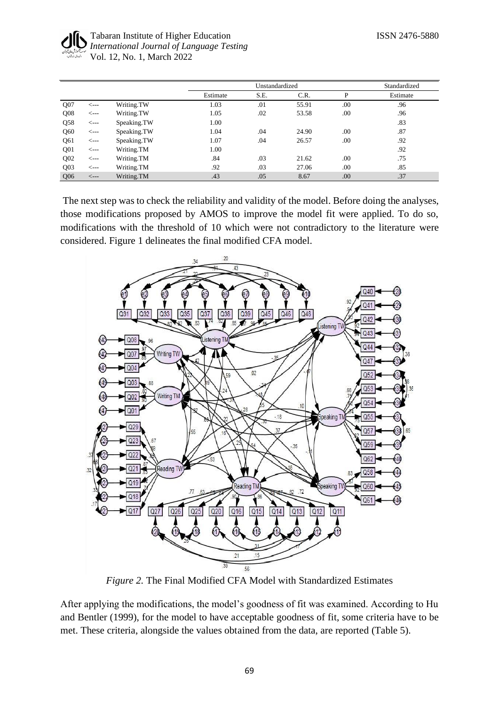|                 |      |             |          | Unstandardized |       |     | Standardized |
|-----------------|------|-------------|----------|----------------|-------|-----|--------------|
|                 |      |             | Estimate | S.E.           | C.R.  | P   | Estimate     |
| Q <sub>07</sub> | <--- | Writing.TW  | 1.03     | .01            | 55.91 | .00 | .96          |
| Q <sub>08</sub> | <--- | Writing.TW  | 1.05     | .02            | 53.58 | .00 | .96          |
| Q58             | <--- | Speaking.TW | 1.00     |                |       |     | .83          |
| Q60             | <--- | Speaking.TW | 1.04     | .04            | 24.90 | .00 | .87          |
| Q61             | <--- | Speaking.TW | 1.07     | .04            | 26.57 | .00 | .92          |
| Q <sub>01</sub> | <--- | Writing.TM  | 1.00     |                |       |     | .92          |
| Q <sub>02</sub> | <--- | Writing.TM  | .84      | .03            | 21.62 | .00 | .75          |
| Q <sub>03</sub> | <--- | Writing.TM  | .92      | .03            | 27.06 | .00 | .85          |
| Q <sub>06</sub> | <--- | Writing.TM  | .43      | .05            | 8.67  | .00 | .37          |

The next step was to check the reliability and validity of the model. Before doing the analyses, those modifications proposed by AMOS to improve the model fit were applied. To do so, modifications with the threshold of 10 which were not contradictory to the literature were considered. Figure 1 delineates the final modified CFA model.



*Figure 2.* The Final Modified CFA Model with Standardized Estimates

After applying the modifications, the model's goodness of fit was examined. According to Hu and Bentler (1999), for the model to have acceptable goodness of fit, some criteria have to be met. These criteria, alongside the values obtained from the data, are reported (Table 5).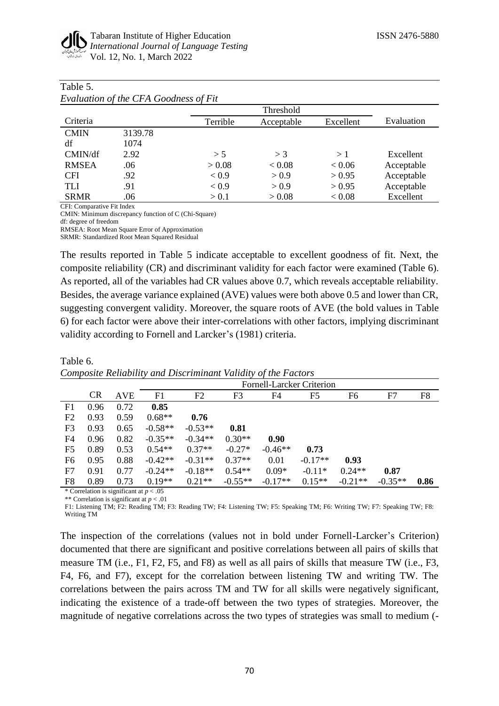| Criteria     |         | Terrible | Acceptable | Excellent  | Evaluation |
|--------------|---------|----------|------------|------------|------------|
| <b>CMIN</b>  | 3139.78 |          |            |            |            |
| df           | 1074    |          |            |            |            |
| CMIN/df      | 2.92    | > 5      | $>$ 3      | >1         | Excellent  |
| <b>RMSEA</b> | .06     | > 0.08   | < 0.08     | ${}< 0.06$ | Acceptable |
| <b>CFI</b>   | .92     | < 0.9    | > 0.9      | > 0.95     | Acceptable |
| TLI          | .91     | < 0.9    | > 0.9      | > 0.95     | Acceptable |
| <b>SRMR</b>  | .06     | > 0.1    | > 0.08     | < 0.08     | Excellent  |

#### Table 5. *Evaluation of the CFA Goodness of Fit*

CFI: Comparative Fit Index

CMIN: Minimum discrepancy function of C (Chi-Square)

df: degree of freedom

RMSEA: Root Mean Square Error of Approximation

SRMR: Standardized Root Mean Squared Residual

The results reported in Table 5 indicate acceptable to excellent goodness of fit. Next, the composite reliability (CR) and discriminant validity for each factor were examined (Table 6). As reported, all of the variables had CR values above 0.7, which reveals acceptable reliability. Besides, the average variance explained (AVE) values were both above 0.5 and lower than CR, suggesting convergent validity. Moreover, the square roots of AVE (the bold values in Table 6) for each factor were above their inter-correlations with other factors, implying discriminant validity according to Fornell and Larcker's (1981) criteria.

|    |           |            |           | Fornell-Larcker Criterion |           |           |           |           |           |      |  |
|----|-----------|------------|-----------|---------------------------|-----------|-----------|-----------|-----------|-----------|------|--|
|    | <b>CR</b> | <b>AVE</b> | F1        | F2                        | F3        | F4        | F5        | F6        | F7        | F8   |  |
| F1 | 0.96      | 0.72       | 0.85      |                           |           |           |           |           |           |      |  |
| F2 | 0.93      | 0.59       | $0.68**$  | 0.76                      |           |           |           |           |           |      |  |
| F3 | 0.93      | 0.65       | $-0.58**$ | $-0.53**$                 | 0.81      |           |           |           |           |      |  |
| F4 | 0.96      | 0.82       | $-0.35**$ | $-0.34**$                 | $0.30**$  | 0.90      |           |           |           |      |  |
| F5 | 0.89      | 0.53       | $0.54**$  | $0.37**$                  | $-0.27*$  | $-0.46**$ | 0.73      |           |           |      |  |
| F6 | 0.95      | 0.88       | $-0.42**$ | $-0.31**$                 | $0.37**$  | 0.01      | $-0.17**$ | 0.93      |           |      |  |
| F7 | 0.91      | 0.77       | $-0.24**$ | $-0.18**$                 | $0.54**$  | $0.09*$   | $-0.11*$  | $0.24**$  | 0.87      |      |  |
| F8 | 0.89      | 0.73       | $0.19**$  | $0.21**$                  | $-0.55**$ | $-0.17**$ | $0.15**$  | $-0.21**$ | $-0.35**$ | 0.86 |  |

Table 6. *Composite Reliability and Discriminant Validity of the Factors*

\* Correlation is significant at *p* < .05 \*\* Correlation is significant at  $p < .01$ 

F1: Listening TM; F2: Reading TM; F3: Reading TW; F4: Listening TW; F5: Speaking TM; F6: Writing TW; F7: Speaking TW; F8: Writing TM

The inspection of the correlations (values not in bold under Fornell-Larcker's Criterion) documented that there are significant and positive correlations between all pairs of skills that measure TM (i.e., F1, F2, F5, and F8) as well as all pairs of skills that measure TW (i.e., F3, F4, F6, and F7), except for the correlation between listening TW and writing TW. The correlations between the pairs across TM and TW for all skills were negatively significant, indicating the existence of a trade-off between the two types of strategies. Moreover, the magnitude of negative correlations across the two types of strategies was small to medium (-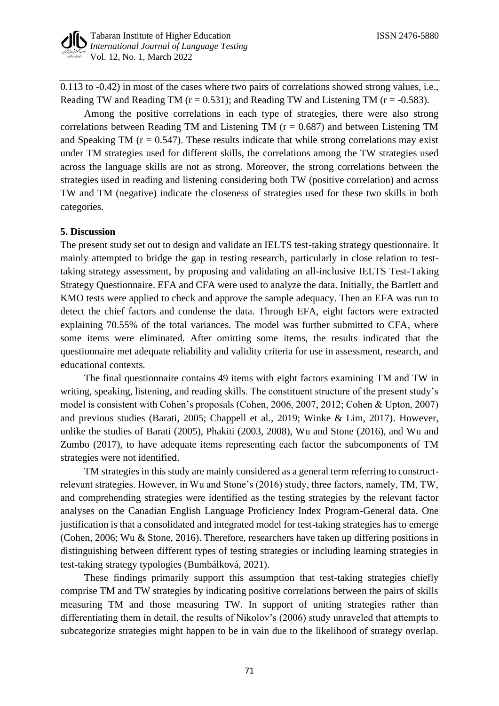0.113 to -0.42) in most of the cases where two pairs of correlations showed strong values, i.e., Reading TW and Reading TM ( $r = 0.531$ ); and Reading TW and Listening TM ( $r = -0.583$ ).

Among the positive correlations in each type of strategies, there were also strong correlations between Reading TM and Listening TM ( $r = 0.687$ ) and between Listening TM and Speaking TM ( $r = 0.547$ ). These results indicate that while strong correlations may exist under TM strategies used for different skills, the correlations among the TW strategies used across the language skills are not as strong. Moreover, the strong correlations between the strategies used in reading and listening considering both TW (positive correlation) and across TW and TM (negative) indicate the closeness of strategies used for these two skills in both categories.

## **5. Discussion**

The present study set out to design and validate an IELTS test-taking strategy questionnaire. It mainly attempted to bridge the gap in testing research, particularly in close relation to testtaking strategy assessment, by proposing and validating an all-inclusive IELTS Test-Taking Strategy Questionnaire. EFA and CFA were used to analyze the data. Initially, the Bartlett and KMO tests were applied to check and approve the sample adequacy. Then an EFA was run to detect the chief factors and condense the data. Through EFA, eight factors were extracted explaining 70.55% of the total variances. The model was further submitted to CFA, where some items were eliminated. After omitting some items, the results indicated that the questionnaire met adequate reliability and validity criteria for use in assessment, research, and educational contexts.

The final questionnaire contains 49 items with eight factors examining TM and TW in writing, speaking, listening, and reading skills. The constituent structure of the present study's model is consistent with Cohen's proposals (Cohen, 2006, 2007, 2012; Cohen & Upton, 2007) and previous studies (Barati, 2005; Chappell et al., 2019; Winke & Lim, 2017). However, unlike the studies of Barati (2005), Phakiti (2003, 2008), Wu and Stone (2016), and Wu and Zumbo (2017), to have adequate items representing each factor the subcomponents of TM strategies were not identified.

TM strategies in this study are mainly considered as a general term referring to constructrelevant strategies. However, in Wu and Stone's (2016) study, three factors, namely, TM, TW, and comprehending strategies were identified as the testing strategies by the relevant factor analyses on the Canadian English Language Proficiency Index Program-General data. One justification is that a consolidated and integrated model for test-taking strategies has to emerge (Cohen, 2006; Wu & Stone, 2016). Therefore, researchers have taken up differing positions in distinguishing between different types of testing strategies or including learning strategies in test-taking strategy typologies (Bumbálková, 2021).

These findings primarily support this assumption that test-taking strategies chiefly comprise TM and TW strategies by indicating positive correlations between the pairs of skills measuring TM and those measuring TW. In support of uniting strategies rather than differentiating them in detail, the results of Nikolov's (2006) study unraveled that attempts to subcategorize strategies might happen to be in vain due to the likelihood of strategy overlap.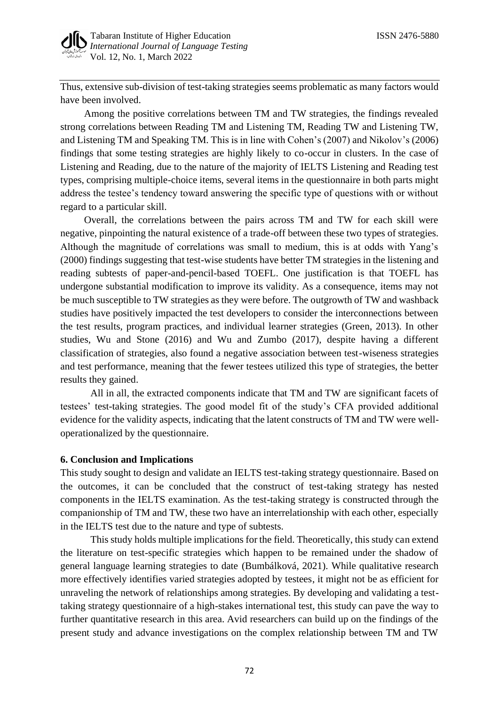Thus, extensive sub-division of test-taking strategies seems problematic as many factors would have been involved.

Among the positive correlations between TM and TW strategies, the findings revealed strong correlations between Reading TM and Listening TM, Reading TW and Listening TW, and Listening TM and Speaking TM. This is in line with Cohen's (2007) and Nikolov's (2006) findings that some testing strategies are highly likely to co-occur in clusters. In the case of Listening and Reading, due to the nature of the majority of IELTS Listening and Reading test types, comprising multiple-choice items, several items in the questionnaire in both parts might address the testee's tendency toward answering the specific type of questions with or without regard to a particular skill.

Overall, the correlations between the pairs across TM and TW for each skill were negative, pinpointing the natural existence of a trade-off between these two types of strategies. Although the magnitude of correlations was small to medium, this is at odds with Yang's (2000) findings suggesting that test-wise students have better TM strategies in the listening and reading subtests of paper-and-pencil-based TOEFL. One justification is that TOEFL has undergone substantial modification to improve its validity. As a consequence, items may not be much susceptible to TW strategies as they were before. The outgrowth of TW and washback studies have positively impacted the test developers to consider the interconnections between the test results, program practices, and individual learner strategies (Green, 2013). In other studies, Wu and Stone (2016) and Wu and Zumbo (2017), despite having a different classification of strategies, also found a negative association between test-wiseness strategies and test performance, meaning that the fewer testees utilized this type of strategies, the better results they gained.

All in all, the extracted components indicate that TM and TW are significant facets of testees' test-taking strategies. The good model fit of the study's CFA provided additional evidence for the validity aspects, indicating that the latent constructs of TM and TW were welloperationalized by the questionnaire.

## **6. Conclusion and Implications**

This study sought to design and validate an IELTS test-taking strategy questionnaire. Based on the outcomes, it can be concluded that the construct of test-taking strategy has nested components in the IELTS examination. As the test-taking strategy is constructed through the companionship of TM and TW, these two have an interrelationship with each other, especially in the IELTS test due to the nature and type of subtests.

This study holds multiple implications for the field. Theoretically, this study can extend the literature on test-specific strategies which happen to be remained under the shadow of general language learning strategies to date (Bumbálková, 2021). While qualitative research more effectively identifies varied strategies adopted by testees, it might not be as efficient for unraveling the network of relationships among strategies. By developing and validating a testtaking strategy questionnaire of a high-stakes international test, this study can pave the way to further quantitative research in this area. Avid researchers can build up on the findings of the present study and advance investigations on the complex relationship between TM and TW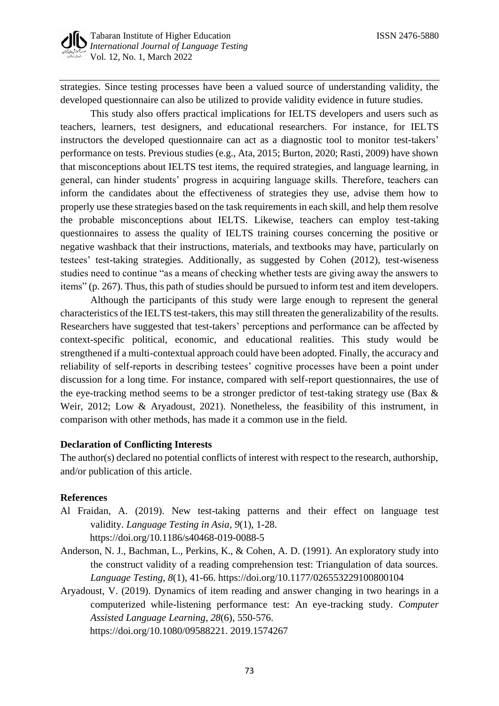strategies. Since testing processes have been a valued source of understanding validity, the developed questionnaire can also be utilized to provide validity evidence in future studies.

This study also offers practical implications for IELTS developers and users such as teachers, learners, test designers, and educational researchers. For instance, for IELTS instructors the developed questionnaire can act as a diagnostic tool to monitor test-takers' performance on tests. Previous studies (e.g., Ata, 2015; Burton, 2020; Rasti, 2009) have shown that misconceptions about IELTS test items, the required strategies, and language learning, in general, can hinder students' progress in acquiring language skills. Therefore, teachers can inform the candidates about the effectiveness of strategies they use, advise them how to properly use these strategies based on the task requirements in each skill, and help them resolve the probable misconceptions about IELTS. Likewise, teachers can employ test-taking questionnaires to assess the quality of IELTS training courses concerning the positive or negative washback that their instructions, materials, and textbooks may have, particularly on testees' test-taking strategies. Additionally, as suggested by Cohen (2012), test-wiseness studies need to continue "as a means of checking whether tests are giving away the answers to items" (p. 267). Thus, this path of studies should be pursued to inform test and item developers.

Although the participants of this study were large enough to represent the general characteristics of the IELTS test-takers, this may still threaten the generalizability of the results. Researchers have suggested that test-takers' perceptions and performance can be affected by context-specific political, economic, and educational realities. This study would be strengthened if a multi-contextual approach could have been adopted. Finally, the accuracy and reliability of self-reports in describing testees' cognitive processes have been a point under discussion for a long time. For instance, compared with self-report questionnaires, the use of the eye-tracking method seems to be a stronger predictor of test-taking strategy use (Bax & Weir, 2012; Low & Aryadoust, 2021). Nonetheless, the feasibility of this instrument, in comparison with other methods, has made it a common use in the field.

# **Declaration of Conflicting Interests**

The author(s) declared no potential conflicts of interest with respect to the research, authorship, and/or publication of this article.

## **References**

- Al Fraidan, A. (2019). New test-taking patterns and their effect on language test validity. *Language Testing in Asia*, *9*(1), 1-28. https://doi.org/10.1186/s40468-019-0088-5
- Anderson, N. J., Bachman, L., Perkins, K., & Cohen, A. D. (1991). An exploratory study into the construct validity of a reading comprehension test: Triangulation of data sources. *Language Testing*, *8*(1), 41-66. https://doi.org/10.1177/026553229100800104
- Aryadoust, V. (2019). Dynamics of item reading and answer changing in two hearings in a computerized while-listening performance test: An eye-tracking study. *Computer Assisted Language Learning*, *28*(6), 550-576.

https://doi.org/10.1080/09588221. 2019.1574267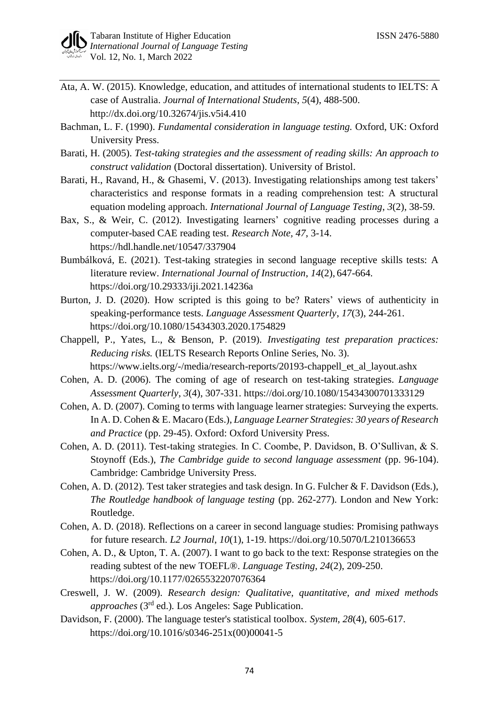- Ata, A. W. (2015). Knowledge, education, and attitudes of international students to IELTS: A case of Australia. *Journal of International Students*, *5*(4), 488-500. http://dx.doi.org/10.32674/jis.v5i4.410
- Bachman, L. F. (1990). *Fundamental consideration in language testing.* Oxford, UK: Oxford University Press.
- Barati, H. (2005). *Test-taking strategies and the assessment of reading skills: An approach to construct validation* (Doctoral dissertation). University of Bristol.
- Barati, H., Ravand, H., & Ghasemi, V. (2013). Investigating relationships among test takers' characteristics and response formats in a reading comprehension test: A structural equation modeling approach. *International Journal of Language Testing*, *3*(2), 38-59.
- Bax, S., & Weir, C. (2012). Investigating learners' cognitive reading processes during a computer-based CAE reading test. *Research Note, 47*, 3-14. https://hdl.handle.net/10547/337904
- Bumbálková, E. (2021). Test-taking strategies in second language receptive skills tests: A literature review. *International Journal of Instruction*, *14*(2), 647-664. https://doi.org/10.29333/iji.2021.14236a
- Burton, J. D. (2020). How scripted is this going to be? Raters' views of authenticity in speaking-performance tests. *Language Assessment Quarterly*, *17*(3), 244-261. https://doi.org/10.1080/15434303.2020.1754829
- Chappell, P., Yates, L., & Benson, P. (2019). *Investigating test preparation practices: Reducing risks.* (IELTS Research Reports Online Series, No. 3). https://www.ielts.org/-/media/research-reports/20193-chappell\_et\_al\_layout.ashx
- Cohen, A. D. (2006). The coming of age of research on test-taking strategies. *Language Assessment Quarterly*, *3*(4), 307-331. https://doi.org/10.1080/15434300701333129
- Cohen, A. D. (2007). Coming to terms with language learner strategies: Surveying the experts. In A. D. Cohen & E. Macaro (Eds.), *Language Learner Strategies: 30 years of Research and Practice* (pp. 29-45). Oxford: Oxford University Press.
- Cohen, A. D. (2011). Test-taking strategies. In C. Coombe, P. Davidson, B. O'Sullivan, & S. Stoynoff (Eds.), *The Cambridge guide to second language assessment* (pp. 96-104). Cambridge: Cambridge University Press.
- Cohen, A. D. (2012). Test taker strategies and task design. In G. Fulcher & F. Davidson (Eds.), *The Routledge handbook of language testing* (pp. 262-277). London and New York: Routledge.
- Cohen, A. D. (2018). Reflections on a career in second language studies: Promising pathways for future research. *L2 Journal*, *10*(1), 1-19. https://doi.org/10.5070/L210136653
- Cohen, A. D., & Upton, T. A. (2007). I want to go back to the text: Response strategies on the reading subtest of the new TOEFL®. *Language Testing*, *24*(2), 209-250. <https://doi.org/10.1177/0265532207076364>
- Creswell, J. W. (2009). *Research design: Qualitative, quantitative, and mixed methods approaches* (3 rd ed.)*.* Los Angeles: Sage Publication.
- Davidson, F. (2000). The language tester's statistical toolbox. *System*, *28*(4), 605-617. https://doi.org/10.1016/s0346-251x(00)00041-5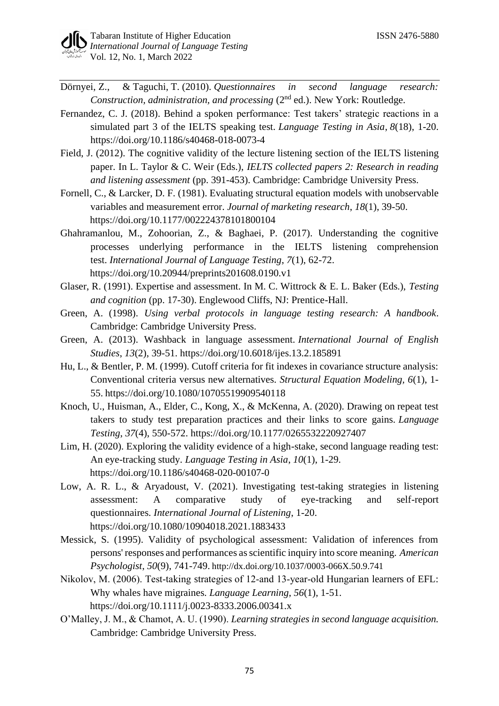- Dörnyei, Z., & Taguchi, T. (2010). *Questionnaires in second language research: Construction, administration, and processing* (2<sup>nd</sup> ed.). New York: Routledge.
- Fernandez, C. J. (2018). Behind a spoken performance: Test takers' strategic reactions in a simulated part 3 of the IELTS speaking test. *Language Testing in Asia*, *8*(18), 1-20. https://doi.org/10.1186/s40468-018-0073-4
- Field, J. (2012). The cognitive validity of the lecture listening section of the IELTS listening paper. In L. Taylor & C. Weir (Eds.), *IELTS collected papers 2: Research in reading and listening assessment* (pp. 391-453). Cambridge: Cambridge University Press.
- Fornell, C., & Larcker, D. F. (1981). Evaluating structural equation models with unobservable variables and measurement error. *Journal of marketing research*, *18*(1), 39-50. https://doi.org/10.1177/002224378101800104
- Ghahramanlou, M., Zohoorian, Z., & Baghaei, P. (2017). Understanding the cognitive processes underlying performance in the IELTS listening comprehension test. *International Journal of Language Testing*, *7*(1), 62-72. https://doi.org/10.20944/preprints201608.0190.v1
- Glaser, R. (1991). Expertise and assessment. In M. C. Wittrock & E. L. Baker (Eds.), *Testing and cognition* (pp. 17-30). Englewood Cliffs, NJ: Prentice-Hall.
- Green, A. (1998). *Using verbal protocols in language testing research: A handbook*. Cambridge: Cambridge University Press.
- Green, A. (2013). Washback in language assessment. *International Journal of English Studies*, *13*(2), 39-51. https://doi.org/10.6018/ijes.13.2.185891
- Hu, L., & Bentler, P. M. (1999). Cutoff criteria for fit indexes in covariance structure analysis: Conventional criteria versus new alternatives. *Structural Equation Modeling, 6*(1), 1- 55. https://doi.org/10.1080/10705519909540118
- Knoch, U., Huisman, A., Elder, C., Kong, X., & McKenna, A. (2020). Drawing on repeat test takers to study test preparation practices and their links to score gains. *Language Testing*, *37*(4), 550-572. https://doi.org/10.1177/0265532220927407
- Lim, H. (2020). Exploring the validity evidence of a high-stake, second language reading test: An eye-tracking study. *Language Testing in Asia*, *10*(1), 1-29. https://doi.org/10.1186/s40468-020-00107-0
- Low, A. R. L., & Aryadoust, V. (2021). Investigating test-taking strategies in listening assessment: A comparative study of eye-tracking and self-report questionnaires. *International Journal of Listening*, 1-20. https://doi.org/10.1080/10904018.2021.1883433
- Messick, S. (1995). Validity of psychological assessment: Validation of inferences from persons' responses and performances as scientific inquiry into score meaning. *American Psychologist*, *50*(9), 741-749. http://dx.doi.org/10.1037/0003-066X.50.9.741
- Nikolov, M. (2006). Test-taking strategies of 12-and 13-year-old Hungarian learners of EFL: Why whales have migraines. *Language Learning*, *56*(1), 1-51. https://doi.org/10.1111/j.0023-8333.2006.00341.x
- O'Malley, J. M., & Chamot, A. U. (1990). *Learning strategies in second language acquisition.* Cambridge: Cambridge University Press.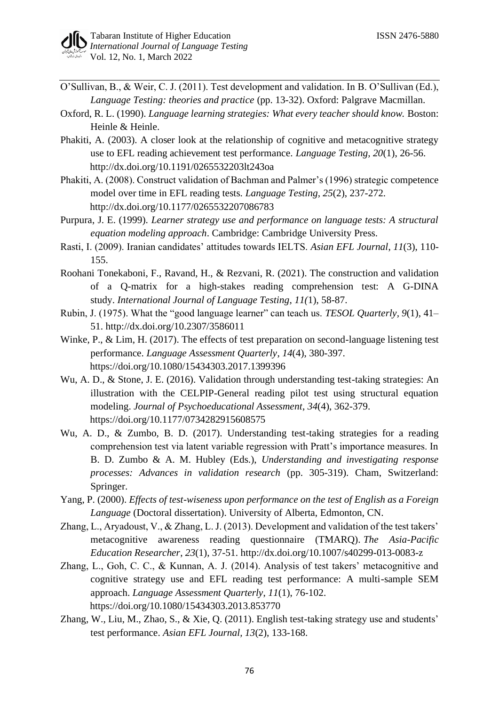- O'Sullivan, B., & Weir, C. J. (2011). Test development and validation. In B. O'Sullivan (Ed.), *Language Testing: theories and practice* (pp. 13-32). Oxford: Palgrave Macmillan.
- Oxford, R. L. (1990). *Language learning strategies: What every teacher should know.* Boston: Heinle & Heinle.
- Phakiti, A. (2003). A closer look at the relationship of cognitive and metacognitive strategy use to EFL reading achievement test performance. *Language Testing, 20*(1), 26-56. http://dx.doi.org/10.1191/0265532203lt243oa
- Phakiti, A. (2008). Construct validation of Bachman and Palmer's (1996) strategic competence model over time in EFL reading tests. *Language Testing, 25*(2), 237-272. http://dx.doi.org/10.1177/0265532207086783
- Purpura, J. E. (1999). *Learner strategy use and performance on language tests: A structural equation modeling approach*. Cambridge: Cambridge University Press.
- Rasti, I. (2009). Iranian candidates' attitudes towards IELTS. *Asian EFL Journal*, *11*(3), 110- 155.
- Roohani Tonekaboni, F., Ravand, H., & Rezvani, R. (2021). The construction and validation of a Q-matrix for a high-stakes reading comprehension test: A G-DINA study. *International Journal of Language Testing*, *11(*1), 58-87.
- Rubin, J. (1975). What the "good language learner" can teach us. *TESOL Quarterly, 9*(1), 41– 51.<http://dx.doi.org/10.2307/3586011>
- Winke, P., & Lim, H. (2017). The effects of test preparation on second-language listening test performance. *Language Assessment Quarterly*, *14*(4), 380-397. https://doi.org/10.1080/15434303.2017.1399396
- Wu, A. D., & Stone, J. E. (2016). Validation through understanding test-taking strategies: An illustration with the CELPIP-General reading pilot test using structural equation modeling. *Journal of Psychoeducational Assessment*, *34*(4), 362-379. https://doi.org/10.1177/0734282915608575
- Wu, A. D., & Zumbo, B. D. (2017). Understanding test-taking strategies for a reading comprehension test via latent variable regression with Pratt's importance measures. In B. D. Zumbo & A. M. Hubley (Eds.), *Understanding and investigating response processes: Advances in validation research* (pp. 305-319). Cham, Switzerland: Springer.
- Yang, P. (2000). *Effects of test-wiseness upon performance on the test of English as a Foreign Language* (Doctoral dissertation). University of Alberta, Edmonton, CN.
- Zhang, L., Aryadoust, V., & Zhang, L. J. (2013). Development and validation of the test takers' metacognitive awareness reading questionnaire (TMARQ). *The Asia-Pacific Education Researcher*, *23*(1), 37-51. http://dx.doi.org/10.1007/s40299-013-0083-z
- Zhang, L., Goh, C. C., & Kunnan, A. J. (2014). Analysis of test takers' metacognitive and cognitive strategy use and EFL reading test performance: A multi-sample SEM approach. *Language Assessment Quarterly*, *11*(1), 76-102. https://doi.org/10.1080/15434303.2013.853770
- Zhang, W., Liu, M., Zhao, S., & Xie, Q. (2011). English test-taking strategy use and students' test performance. *Asian EFL Journal, 13*(2), 133-168.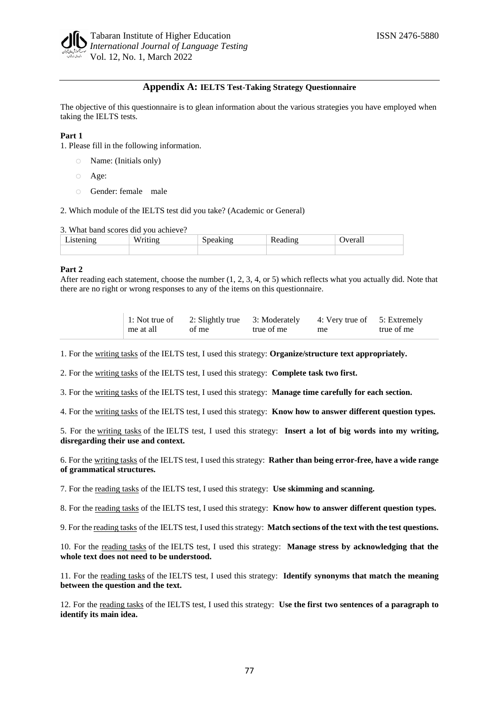#### **Appendix A: IELTS Test-Taking Strategy Questionnaire**

The objective of this questionnaire is to glean information about the various strategies you have employed when taking the IELTS tests.

#### **Part 1**

1. Please fill in the following information.

- o Name: (Initials only)
- o Age:
- o Gender: female male

2. Which module of the IELTS test did you take? (Academic or General)

#### 3. What band scores did you achieve?

| $-$<br>۱۸ |  | ----<br> |
|-----------|--|----------|
|           |  |          |

#### **Part 2**

After reading each statement, choose the number (1, 2, 3, 4, or 5) which reflects what you actually did. Note that there are no right or wrong responses to any of the items on this questionnaire.

| 1: Not true of | 2: Slightly true 3: Moderately |            | 4: Very true of 5: Extremely |            |
|----------------|--------------------------------|------------|------------------------------|------------|
| me at all      | of me                          | true of me | me                           | true of me |

1. For the writing tasks of the IELTS test, I used this strategy: **Organize/structure text appropriately.**

2. For the writing tasks of the IELTS test, I used this strategy: **Complete task two first.**

3. For the writing tasks of the IELTS test, I used this strategy: **Manage time carefully for each section.**

4. For the writing tasks of the IELTS test, I used this strategy: **Know how to answer different question types.**

5. For the writing tasks of the IELTS test, I used this strategy: **Insert a lot of big words into my writing, disregarding their use and context.**

6. For the writing tasks of the IELTS test, I used this strategy: **Rather than being error-free, have a wide range of grammatical structures.**

7. For the reading tasks of the IELTS test, I used this strategy: **Use skimming and scanning.**

8. For the reading tasks of the IELTS test, I used this strategy: **Know how to answer different question types.**

9. For the reading tasks of the IELTS test, I used this strategy: **Match sections of the text with the test questions.**

10. For the reading tasks of the IELTS test, I used this strategy: **Manage stress by acknowledging that the whole text does not need to be understood.**

11. For the reading tasks of the IELTS test, I used this strategy: **Identify synonyms that match the meaning between the question and the text.**

12. For the reading tasks of the IELTS test, I used this strategy: **Use the first two sentences of a paragraph to identify its main idea.**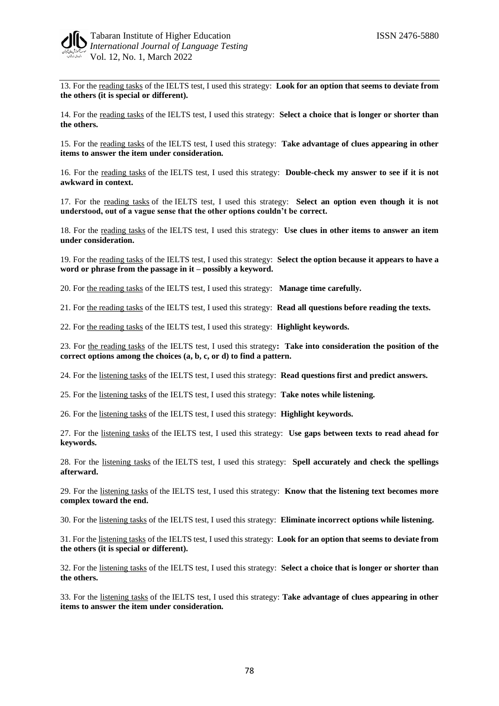13. For the reading tasks of the IELTS test, I used this strategy: **Look for an option that seems to deviate from the others (it is special or different).**

14. For the reading tasks of the IELTS test, I used this strategy: **Select a choice that is longer or shorter than the others.**

15. For the reading tasks of the IELTS test, I used this strategy: **Take advantage of clues appearing in other items to answer the item under consideration.**

16. For the reading tasks of the IELTS test, I used this strategy: **Double-check my answer to see if it is not awkward in context.**

17. For the reading tasks of the IELTS test, I used this strategy: **Select an option even though it is not understood, out of a vague sense that the other options couldn't be correct.**

18. For the reading tasks of the IELTS test, I used this strategy: **Use clues in other items to answer an item under consideration.**

19. For the reading tasks of the IELTS test, I used this strategy: **Select the option because it appears to have a word or phrase from the passage in it – possibly a keyword.**

20. For the reading tasks of the IELTS test, I used this strategy: **Manage time carefully.**

21. For the reading tasks of the IELTS test, I used this strategy: **Read all questions before reading the texts.**

22. For the reading tasks of the IELTS test, I used this strategy: **Highlight keywords.**

23. For the reading tasks of the IELTS test, I used this strategy**: Take into consideration the position of the correct options among the choices (a, b, c, or d) to find a pattern.**

24. For the listening tasks of the IELTS test, I used this strategy: **Read questions first and predict answers.**

25. For the listening tasks of the IELTS test, I used this strategy: **Take notes while listening.**

26. For the listening tasks of the IELTS test, I used this strategy: **Highlight keywords.**

27. For the listening tasks of the IELTS test, I used this strategy: **Use gaps between texts to read ahead for keywords.**

28. For the listening tasks of the IELTS test, I used this strategy: **Spell accurately and check the spellings afterward.**

29. For the listening tasks of the IELTS test, I used this strategy: **Know that the listening text becomes more complex toward the end.**

30. For the listening tasks of the IELTS test, I used this strategy: **Eliminate incorrect options while listening.**

31. For the listening tasks of the IELTS test, I used this strategy: **Look for an option that seems to deviate from the others (it is special or different).**

32. For the listening tasks of the IELTS test, I used this strategy: **Select a choice that is longer or shorter than the others.**

33. For the listening tasks of the IELTS test, I used this strategy: **Take advantage of clues appearing in other items to answer the item under consideration.**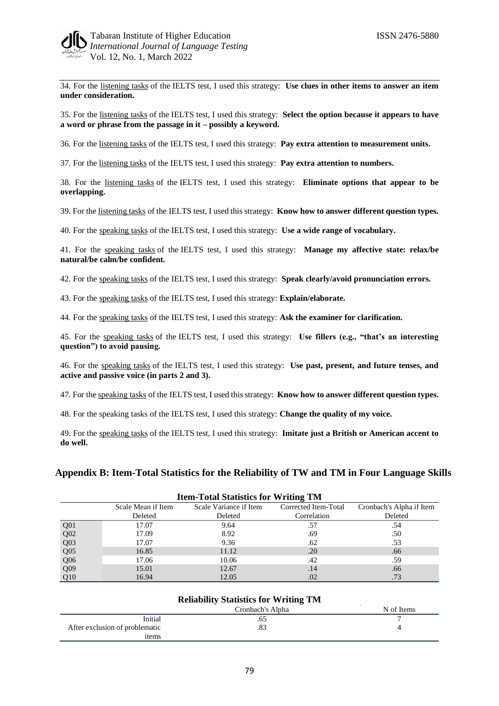34. For the listening tasks of the IELTS test, I used this strategy: **Use clues in other items to answer an item under consideration.**

35. For the listening tasks of the IELTS test, I used this strategy: **Select the option because it appears to have a word or phrase from the passage in it – possibly a keyword.**

36. For the listening tasks of the IELTS test, I used this strategy: **Pay extra attention to measurement units.**

37. For the listening tasks of the IELTS test, I used this strategy: **Pay extra attention to numbers.**

38. For the listening tasks of the IELTS test, I used this strategy: **Eliminate options that appear to be overlapping.**

39. For the listening tasks of the IELTS test, I used this strategy: **Know how to answer different question types.**

40. For the speaking tasks of the IELTS test, I used this strategy: **Use a wide range of vocabulary.**

41. For the speaking tasks of the IELTS test, I used this strategy: **Manage my affective state: relax/be natural/be calm/be confident.**

42. For the speaking tasks of the IELTS test, I used this strategy: **Speak clearly/avoid pronunciation errors.**

43. For the speaking tasks of the IELTS test, I used this strategy: **Explain/elaborate.**

44. For the speaking tasks of the IELTS test, I used this strategy: **Ask the examiner for clarification.**

45. For the speaking tasks of the IELTS test, I used this strategy: **Use fillers (e.g., "that's an interesting question") to avoid pausing.**

46. For the speaking tasks of the IELTS test, I used this strategy: **Use past, present, and future tenses, and active and passive voice (in parts 2 and 3).**

47. For the speaking tasks of the IELTS test, I used this strategy: **Know how to answer different question types.**

48. For the speaking tasks of the IELTS test, I used this strategy: **Change the quality of my voice.**

49. For the speaking tasks of the IELTS test, I used this strategy: **Imitate just a British or American accent to do well.**

**Appendix B: Item-Total Statistics for the Reliability of TW and TM in Four Language Skills**

|                 | <b>THE LOTAL STATISTICS TOP WITHING TWI</b> |                        |                      |                          |  |
|-----------------|---------------------------------------------|------------------------|----------------------|--------------------------|--|
|                 | Scale Mean if Item                          | Scale Variance if Item | Corrected Item-Total | Cronbach's Alpha if Item |  |
|                 | Deleted                                     | Deleted                | Correlation          | Deleted                  |  |
| Q <sub>01</sub> | 17.07                                       | 9.64                   |                      | .54                      |  |
| Q <sub>02</sub> | 17.09                                       | 8.92                   | .69                  | .50                      |  |
| Q <sub>03</sub> | 17.07                                       | 9.36                   | .62                  | .53                      |  |
| Q <sub>05</sub> | 16.85                                       | 11.12                  | .20                  | .66                      |  |
| Q <sub>06</sub> | 17.06                                       | 10.06                  | .42                  | .59                      |  |
| Q <sub>09</sub> | 15.01                                       | 12.67                  | .14                  | .66                      |  |
| Q10             | 16.94                                       | 12.05                  | .02                  | .73                      |  |

# **Item-Total Statistics for Writing TM**

#### **Reliability Statistics for Writing TM**

|                                | Cronbach's Alpha | N of Items |
|--------------------------------|------------------|------------|
| Initial                        | .65              |            |
| After exclusion of problematic | .83              |            |
| items                          |                  |            |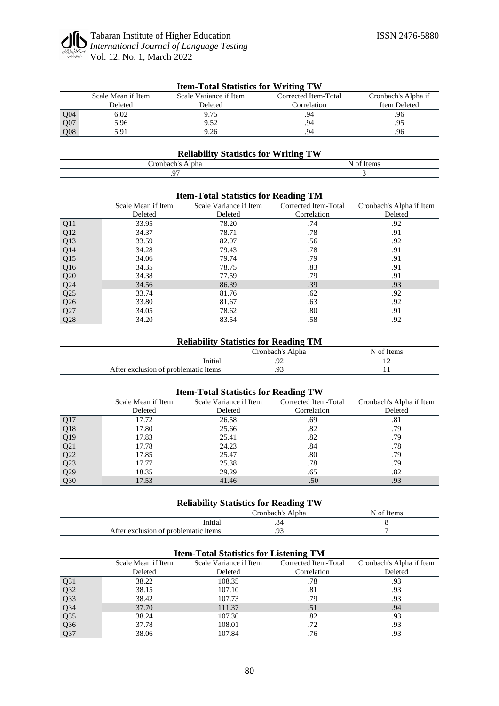|                 |                    | <b>Item-Total Statistics for Writing TW</b> |                      |                     |
|-----------------|--------------------|---------------------------------------------|----------------------|---------------------|
|                 | Scale Mean if Item | Scale Variance if Item                      | Corrected Item-Total | Cronbach's Alpha if |
|                 | Deleted            | Deleted                                     | Correlation          | Item Deleted        |
| Q <sub>04</sub> | 6.02               | 9.75                                        | .94                  | .96                 |
| Q <sub>07</sub> | 5.96               | 9.52                                        | .94                  | .95                 |
| Q <sub>08</sub> | 5.91               | 9.26                                        | 94                   | .96                 |

## **Reliability Statistics for Writing TW**

| $'$ and $\sim$ and<br>- -<br>$ -$<br>льс |  |
|------------------------------------------|--|
| $\sim$<br>. . <i>.</i>                   |  |

|                 | <b>Item-Total Statistics for Reading TM</b> |                        |                      |                          |  |
|-----------------|---------------------------------------------|------------------------|----------------------|--------------------------|--|
|                 | Scale Mean if Item                          | Scale Variance if Item | Corrected Item-Total | Cronbach's Alpha if Item |  |
|                 | Deleted                                     | Deleted                | Correlation          | Deleted                  |  |
| Q11             | 33.95                                       | 78.20                  | .74                  | .92                      |  |
| Q12             | 34.37                                       | 78.71                  | .78                  | .91                      |  |
| Q13             | 33.59                                       | 82.07                  | .56                  | .92                      |  |
| Q14             | 34.28                                       | 79.43                  | .78                  | .91                      |  |
| Q15             | 34.06                                       | 79.74                  | .79                  | .91                      |  |
| Q <sub>16</sub> | 34.35                                       | 78.75                  | .83                  | .91                      |  |
| Q20             | 34.38                                       | 77.59                  | .79                  | .91                      |  |
| Q24             | 34.56                                       | 86.39                  | .39                  | .93                      |  |
| Q25             | 33.74                                       | 81.76                  | .62                  | .92                      |  |
| Q26             | 33.80                                       | 81.67                  | .63                  | .92                      |  |
| Q27             | 34.05                                       | 78.62                  | .80                  | .91                      |  |
| Q28             | 34.20                                       | 83.54                  | .58                  | .92                      |  |

## **Reliability Statistics for Reading TM**

|                                      | ronbach's Alpha. | --<br>N<br>ΩŤ<br>Item. |
|--------------------------------------|------------------|------------------------|
| Initial                              | $\cdot$          | $\overline{1}$         |
| After exclusion of problematic items |                  | . .                    |

#### **Item-Total Statistics for Reading TW**

|                |                               |                                   | -                                   |                                     |
|----------------|-------------------------------|-----------------------------------|-------------------------------------|-------------------------------------|
|                | Scale Mean if Item<br>Deleted | Scale Variance if Item<br>Deleted | Corrected Item-Total<br>Correlation | Cronbach's Alpha if Item<br>Deleted |
|                |                               |                                   |                                     |                                     |
| Q17            | 17.72                         | 26.58                             | .69                                 | .81                                 |
| Q18            | 17.80                         | 25.66                             | .82                                 | .79                                 |
| Q19            | 17.83                         | 25.41                             | .82                                 | .79                                 |
| Q21            | 17.78                         | 24.23                             | .84                                 | .78                                 |
| $\tilde{Q}$ 22 | 17.85                         | 25.47                             | .80                                 | .79                                 |
| $Q23$<br>$Q29$ | 17.77                         | 25.38                             | .78                                 | .79                                 |
|                | 18.35                         | 29.29                             | .65                                 | .82                                 |
| Q30            | 17.53                         | 41.46                             | $-.50$                              | .93                                 |

## **Reliability Statistics for Reading TW**

| Initial                              | Cronbach's Alpha | N of Items |
|--------------------------------------|------------------|------------|
|                                      |                  |            |
| After exclusion of problematic items |                  |            |

## **Item-Total Statistics for Listening TM**

|                 | Scale Mean if Item<br>Deleted | Scale Variance if Item<br>Deleted | Corrected Item-Total<br>Correlation | Cronbach's Alpha if Item<br>Deleted |
|-----------------|-------------------------------|-----------------------------------|-------------------------------------|-------------------------------------|
| Q31             | 38.22                         | 108.35                            | .78                                 | .93                                 |
| Q32             | 38.15                         | 107.10                            | .81                                 | .93                                 |
| Q <sub>33</sub> | 38.42                         | 107.73                            | .79                                 | .93                                 |
| Q34             | 37.70                         | 111.37                            | .51                                 | .94                                 |
| Q <sub>35</sub> | 38.24                         | 107.30                            | .82                                 | .93                                 |
| Q <sub>36</sub> | 37.78                         | 108.01                            | .72                                 | .93                                 |
| Q37             | 38.06                         | 107.84                            | .76                                 | .93                                 |